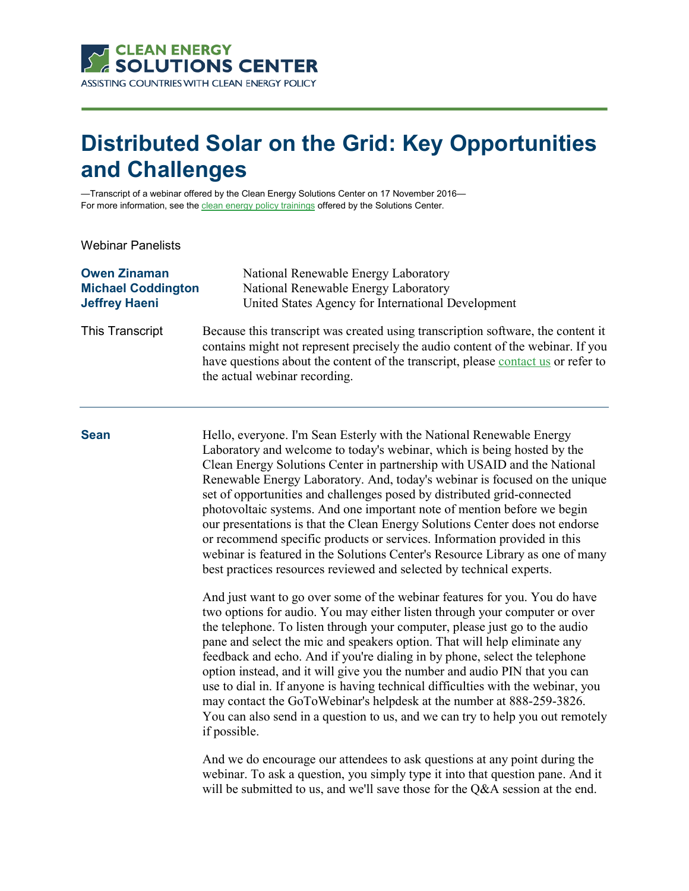

# **Distributed Solar on the Grid: Key Opportunities and Challenges**

—Transcript of a webinar offered by the Clean Energy Solutions Center on 17 November 2016 For more information, see th[e clean energy policy trainings](https://cleanenergysolutions.org/training) offered by the Solutions Center.

Webinar Panelists

| <b>Owen Zinaman</b>       | National Renewable Energy Laboratory                                                                                                                                                                                                                                                      |  |
|---------------------------|-------------------------------------------------------------------------------------------------------------------------------------------------------------------------------------------------------------------------------------------------------------------------------------------|--|
| <b>Michael Coddington</b> | National Renewable Energy Laboratory                                                                                                                                                                                                                                                      |  |
| <b>Jeffrey Haeni</b>      | United States Agency for International Development                                                                                                                                                                                                                                        |  |
| This Transcript           | Because this transcript was created using transcription software, the content it<br>contains might not represent precisely the audio content of the webinar. If you<br>have questions about the content of the transcript, please contact us or refer to<br>the actual webinar recording. |  |
| <b>Sean</b>               | Hello, everyone. I'm Sean Esterly with the National Renewable Energy<br>Laboratory and welcome to today's webinar, which is being hosted by the                                                                                                                                           |  |

Laboratory and welcome to today's webinar, which is being hosted by the Clean Energy Solutions Center in partnership with USAID and the National Renewable Energy Laboratory. And, today's webinar is focused on the unique set of opportunities and challenges posed by distributed grid-connected photovoltaic systems. And one important note of mention before we begin our presentations is that the Clean Energy Solutions Center does not endorse or recommend specific products or services. Information provided in this webinar is featured in the Solutions Center's Resource Library as one of many best practices resources reviewed and selected by technical experts.

And just want to go over some of the webinar features for you. You do have two options for audio. You may either listen through your computer or over the telephone. To listen through your computer, please just go to the audio pane and select the mic and speakers option. That will help eliminate any feedback and echo. And if you're dialing in by phone, select the telephone option instead, and it will give you the number and audio PIN that you can use to dial in. If anyone is having technical difficulties with the webinar, you may contact the GoToWebinar's helpdesk at the number at 888-259-3826. You can also send in a question to us, and we can try to help you out remotely if possible.

And we do encourage our attendees to ask questions at any point during the webinar. To ask a question, you simply type it into that question pane. And it will be submitted to us, and we'll save those for the Q&A session at the end.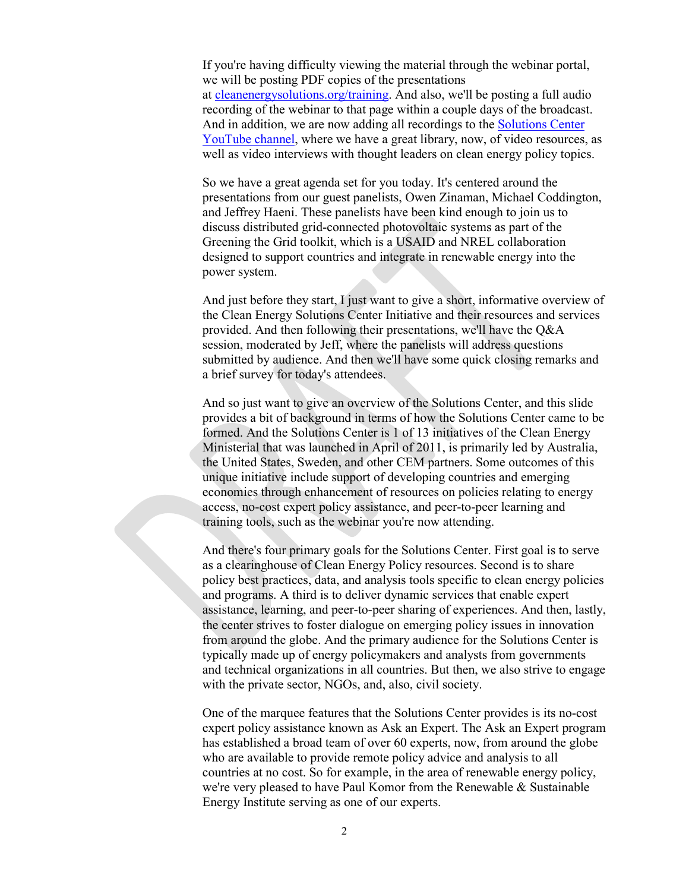If you're having difficulty viewing the material through the webinar portal, we will be posting PDF copies of the presentations at [cleanenergysolutions.org/training.](https://cleanenergysolutions.org/training) And also, we'll be posting a full audio recording of the webinar to that page within a couple days of the broadcast. And in addition, we are now adding all recordings to the [Solutions Center](https://www.youtube.com/user/cleanenergypolicy)  [YouTube channel,](https://www.youtube.com/user/cleanenergypolicy) where we have a great library, now, of video resources, as well as video interviews with thought leaders on clean energy policy topics.

So we have a great agenda set for you today. It's centered around the presentations from our guest panelists, Owen Zinaman, Michael Coddington, and Jeffrey Haeni. These panelists have been kind enough to join us to discuss distributed grid-connected photovoltaic systems as part of the Greening the Grid toolkit, which is a USAID and NREL collaboration designed to support countries and integrate in renewable energy into the power system.

And just before they start, I just want to give a short, informative overview of the Clean Energy Solutions Center Initiative and their resources and services provided. And then following their presentations, we'll have the Q&A session, moderated by Jeff, where the panelists will address questions submitted by audience. And then we'll have some quick closing remarks and a brief survey for today's attendees.

And so just want to give an overview of the Solutions Center, and this slide provides a bit of background in terms of how the Solutions Center came to be formed. And the Solutions Center is 1 of 13 initiatives of the Clean Energy Ministerial that was launched in April of 2011, is primarily led by Australia, the United States, Sweden, and other CEM partners. Some outcomes of this unique initiative include support of developing countries and emerging economies through enhancement of resources on policies relating to energy access, no-cost expert policy assistance, and peer-to-peer learning and training tools, such as the webinar you're now attending.

And there's four primary goals for the Solutions Center. First goal is to serve as a clearinghouse of Clean Energy Policy resources. Second is to share policy best practices, data, and analysis tools specific to clean energy policies and programs. A third is to deliver dynamic services that enable expert assistance, learning, and peer-to-peer sharing of experiences. And then, lastly, the center strives to foster dialogue on emerging policy issues in innovation from around the globe. And the primary audience for the Solutions Center is typically made up of energy policymakers and analysts from governments and technical organizations in all countries. But then, we also strive to engage with the private sector, NGOs, and, also, civil society.

One of the marquee features that the Solutions Center provides is its no-cost expert policy assistance known as Ask an Expert. The Ask an Expert program has established a broad team of over 60 experts, now, from around the globe who are available to provide remote policy advice and analysis to all countries at no cost. So for example, in the area of renewable energy policy, we're very pleased to have Paul Komor from the Renewable & Sustainable Energy Institute serving as one of our experts.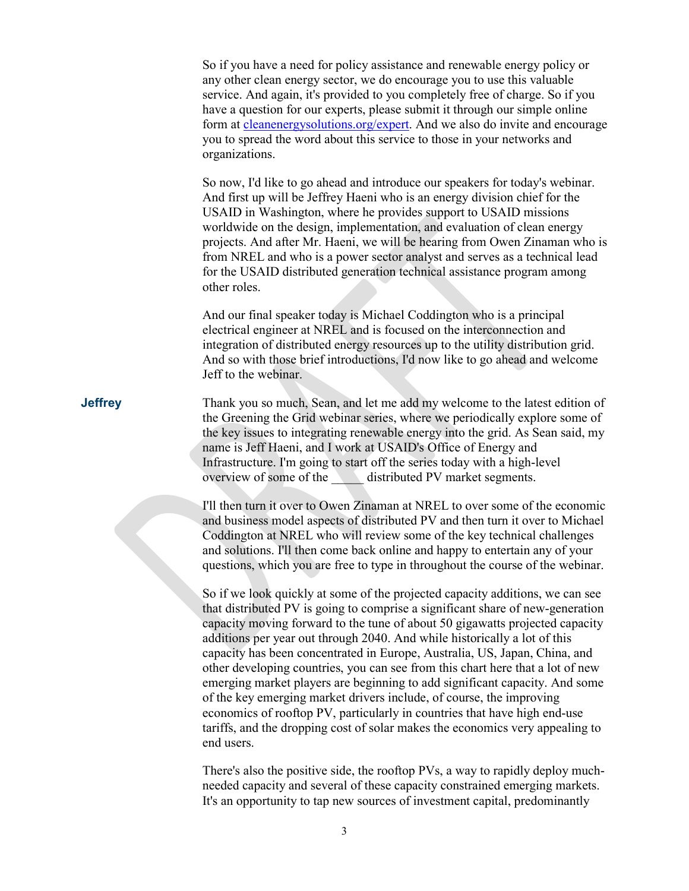So if you have a need for policy assistance and renewable energy policy or any other clean energy sector, we do encourage you to use this valuable service. And again, it's provided to you completely free of charge. So if you have a question for our experts, please submit it through our simple online form at [cleanenergysolutions.org/expert.](https://cleanenergysolutions.org/expert) And we also do invite and encourage you to spread the word about this service to those in your networks and organizations.

So now, I'd like to go ahead and introduce our speakers for today's webinar. And first up will be Jeffrey Haeni who is an energy division chief for the USAID in Washington, where he provides support to USAID missions worldwide on the design, implementation, and evaluation of clean energy projects. And after Mr. Haeni, we will be hearing from Owen Zinaman who is from NREL and who is a power sector analyst and serves as a technical lead for the USAID distributed generation technical assistance program among other roles.

And our final speaker today is Michael Coddington who is a principal electrical engineer at NREL and is focused on the interconnection and integration of distributed energy resources up to the utility distribution grid. And so with those brief introductions, I'd now like to go ahead and welcome Jeff to the webinar.

**Jeffrey** Thank you so much, Sean, and let me add my welcome to the latest edition of the Greening the Grid webinar series, where we periodically explore some of the key issues to integrating renewable energy into the grid. As Sean said, my name is Jeff Haeni, and I work at USAID's Office of Energy and Infrastructure. I'm going to start off the series today with a high-level overview of some of the distributed PV market segments.

> I'll then turn it over to Owen Zinaman at NREL to over some of the economic and business model aspects of distributed PV and then turn it over to Michael Coddington at NREL who will review some of the key technical challenges and solutions. I'll then come back online and happy to entertain any of your questions, which you are free to type in throughout the course of the webinar.

> So if we look quickly at some of the projected capacity additions, we can see that distributed PV is going to comprise a significant share of new-generation capacity moving forward to the tune of about 50 gigawatts projected capacity additions per year out through 2040. And while historically a lot of this capacity has been concentrated in Europe, Australia, US, Japan, China, and other developing countries, you can see from this chart here that a lot of new emerging market players are beginning to add significant capacity. And some of the key emerging market drivers include, of course, the improving economics of rooftop PV, particularly in countries that have high end-use tariffs, and the dropping cost of solar makes the economics very appealing to end users.

> There's also the positive side, the rooftop PVs, a way to rapidly deploy muchneeded capacity and several of these capacity constrained emerging markets. It's an opportunity to tap new sources of investment capital, predominantly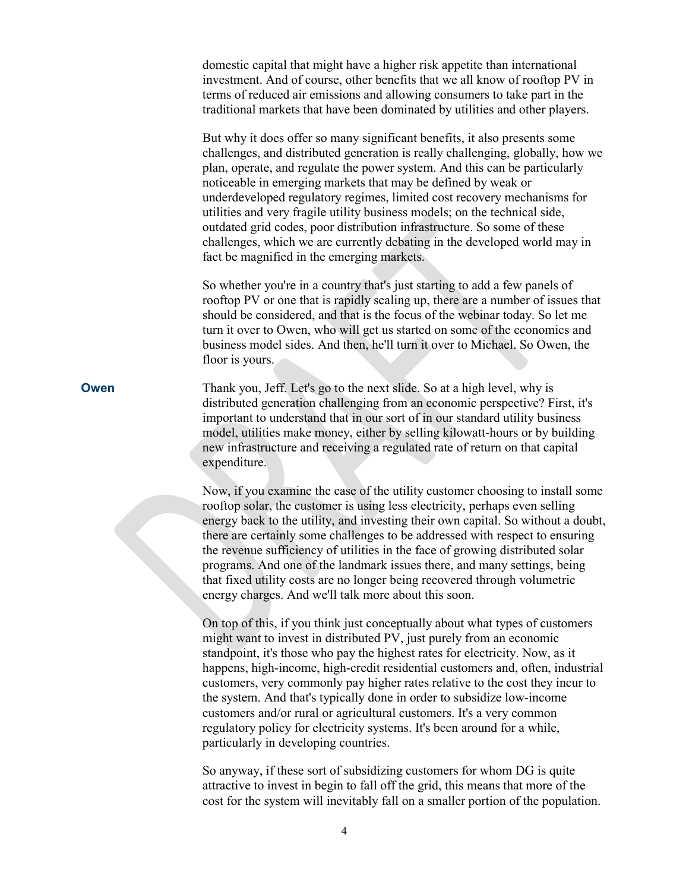|             | domestic capital that might have a higher risk appetite than international<br>investment. And of course, other benefits that we all know of rooftop PV in<br>terms of reduced air emissions and allowing consumers to take part in the<br>traditional markets that have been dominated by utilities and other players.                                                                                                                                                                                                                                                                                                                                                        |
|-------------|-------------------------------------------------------------------------------------------------------------------------------------------------------------------------------------------------------------------------------------------------------------------------------------------------------------------------------------------------------------------------------------------------------------------------------------------------------------------------------------------------------------------------------------------------------------------------------------------------------------------------------------------------------------------------------|
|             | But why it does offer so many significant benefits, it also presents some<br>challenges, and distributed generation is really challenging, globally, how we<br>plan, operate, and regulate the power system. And this can be particularly<br>noticeable in emerging markets that may be defined by weak or<br>underdeveloped regulatory regimes, limited cost recovery mechanisms for<br>utilities and very fragile utility business models; on the technical side,<br>outdated grid codes, poor distribution infrastructure. So some of these<br>challenges, which we are currently debating in the developed world may in<br>fact be magnified in the emerging markets.     |
|             | So whether you're in a country that's just starting to add a few panels of<br>rooftop PV or one that is rapidly scaling up, there are a number of issues that<br>should be considered, and that is the focus of the webinar today. So let me<br>turn it over to Owen, who will get us started on some of the economics and<br>business model sides. And then, he'll turn it over to Michael. So Owen, the<br>floor is yours.                                                                                                                                                                                                                                                  |
| <b>Owen</b> | Thank you, Jeff. Let's go to the next slide. So at a high level, why is<br>distributed generation challenging from an economic perspective? First, it's<br>important to understand that in our sort of in our standard utility business<br>model, utilities make money, either by selling kilowatt-hours or by building<br>new infrastructure and receiving a regulated rate of return on that capital<br>expenditure.                                                                                                                                                                                                                                                        |
|             | Now, if you examine the case of the utility customer choosing to install some<br>rooftop solar, the customer is using less electricity, perhaps even selling<br>energy back to the utility, and investing their own capital. So without a doubt,<br>there are certainly some challenges to be addressed with respect to ensuring<br>the revenue sufficiency of utilities in the face of growing distributed solar<br>programs. And one of the landmark issues there, and many settings, being<br>that fixed utility costs are no longer being recovered through volumetric<br>energy charges. And we'll talk more about this soon.                                            |
|             | On top of this, if you think just conceptually about what types of customers<br>might want to invest in distributed PV, just purely from an economic<br>standpoint, it's those who pay the highest rates for electricity. Now, as it<br>happens, high-income, high-credit residential customers and, often, industrial<br>customers, very commonly pay higher rates relative to the cost they incur to<br>the system. And that's typically done in order to subsidize low-income<br>customers and/or rural or agricultural customers. It's a very common<br>regulatory policy for electricity systems. It's been around for a while,<br>particularly in developing countries. |
|             |                                                                                                                                                                                                                                                                                                                                                                                                                                                                                                                                                                                                                                                                               |

So anyway, if these sort of subsidizing customers for whom DG is quite attractive to invest in begin to fall off the grid, this means that more of the cost for the system will inevitably fall on a smaller portion of the population.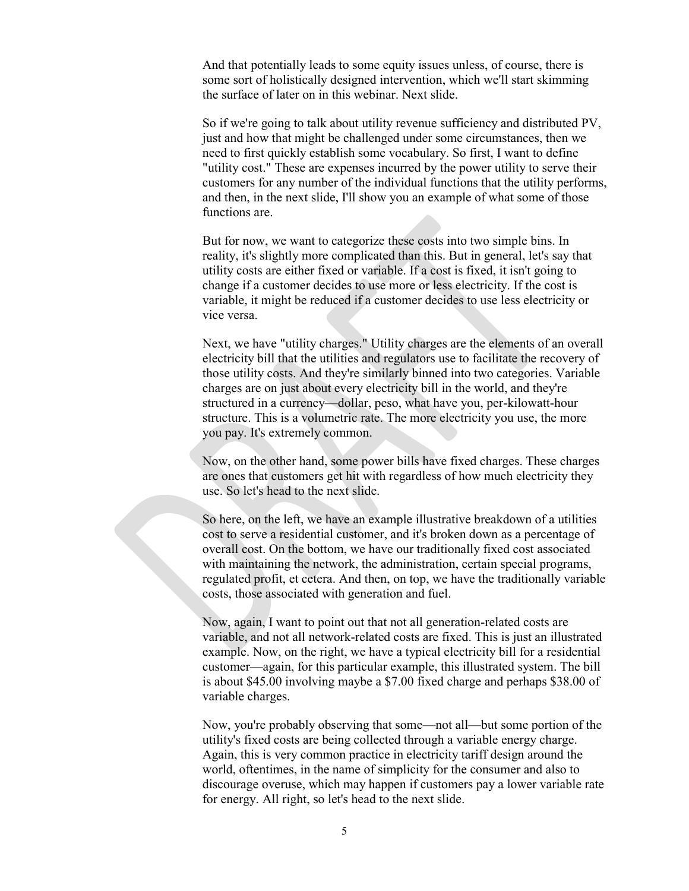And that potentially leads to some equity issues unless, of course, there is some sort of holistically designed intervention, which we'll start skimming the surface of later on in this webinar. Next slide.

So if we're going to talk about utility revenue sufficiency and distributed PV, just and how that might be challenged under some circumstances, then we need to first quickly establish some vocabulary. So first, I want to define "utility cost." These are expenses incurred by the power utility to serve their customers for any number of the individual functions that the utility performs, and then, in the next slide, I'll show you an example of what some of those functions are

But for now, we want to categorize these costs into two simple bins. In reality, it's slightly more complicated than this. But in general, let's say that utility costs are either fixed or variable. If a cost is fixed, it isn't going to change if a customer decides to use more or less electricity. If the cost is variable, it might be reduced if a customer decides to use less electricity or vice versa.

Next, we have "utility charges." Utility charges are the elements of an overall electricity bill that the utilities and regulators use to facilitate the recovery of those utility costs. And they're similarly binned into two categories. Variable charges are on just about every electricity bill in the world, and they're structured in a currency—dollar, peso, what have you, per-kilowatt-hour structure. This is a volumetric rate. The more electricity you use, the more you pay. It's extremely common.

Now, on the other hand, some power bills have fixed charges. These charges are ones that customers get hit with regardless of how much electricity they use. So let's head to the next slide.

So here, on the left, we have an example illustrative breakdown of a utilities cost to serve a residential customer, and it's broken down as a percentage of overall cost. On the bottom, we have our traditionally fixed cost associated with maintaining the network, the administration, certain special programs, regulated profit, et cetera. And then, on top, we have the traditionally variable costs, those associated with generation and fuel.

Now, again, I want to point out that not all generation-related costs are variable, and not all network-related costs are fixed. This is just an illustrated example. Now, on the right, we have a typical electricity bill for a residential customer—again, for this particular example, this illustrated system. The bill is about \$45.00 involving maybe a \$7.00 fixed charge and perhaps \$38.00 of variable charges.

Now, you're probably observing that some—not all—but some portion of the utility's fixed costs are being collected through a variable energy charge. Again, this is very common practice in electricity tariff design around the world, oftentimes, in the name of simplicity for the consumer and also to discourage overuse, which may happen if customers pay a lower variable rate for energy. All right, so let's head to the next slide.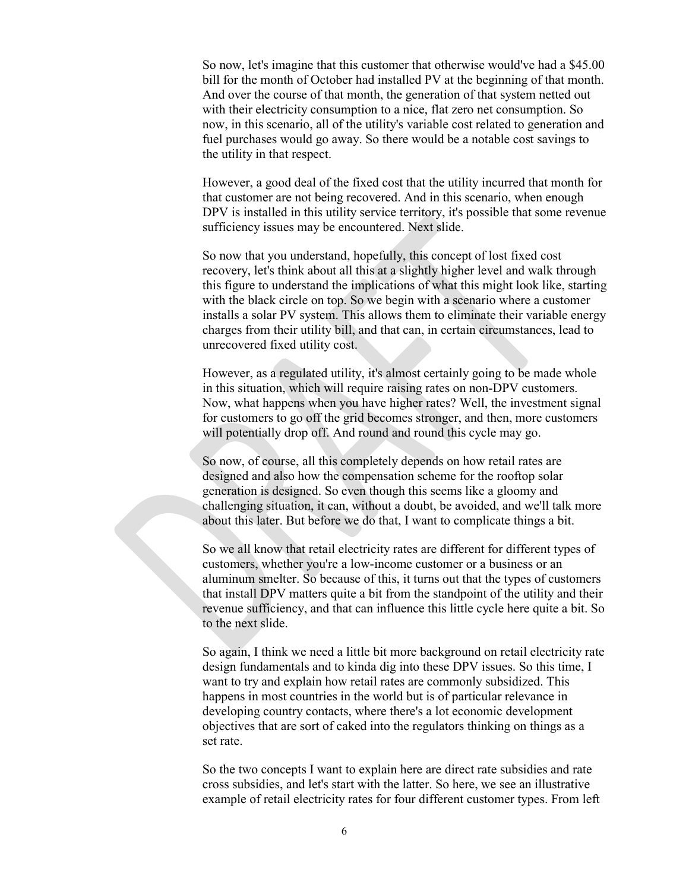So now, let's imagine that this customer that otherwise would've had a \$45.00 bill for the month of October had installed PV at the beginning of that month. And over the course of that month, the generation of that system netted out with their electricity consumption to a nice, flat zero net consumption. So now, in this scenario, all of the utility's variable cost related to generation and fuel purchases would go away. So there would be a notable cost savings to the utility in that respect.

However, a good deal of the fixed cost that the utility incurred that month for that customer are not being recovered. And in this scenario, when enough DPV is installed in this utility service territory, it's possible that some revenue sufficiency issues may be encountered. Next slide.

So now that you understand, hopefully, this concept of lost fixed cost recovery, let's think about all this at a slightly higher level and walk through this figure to understand the implications of what this might look like, starting with the black circle on top. So we begin with a scenario where a customer installs a solar PV system. This allows them to eliminate their variable energy charges from their utility bill, and that can, in certain circumstances, lead to unrecovered fixed utility cost.

However, as a regulated utility, it's almost certainly going to be made whole in this situation, which will require raising rates on non-DPV customers. Now, what happens when you have higher rates? Well, the investment signal for customers to go off the grid becomes stronger, and then, more customers will potentially drop off. And round and round this cycle may go.

So now, of course, all this completely depends on how retail rates are designed and also how the compensation scheme for the rooftop solar generation is designed. So even though this seems like a gloomy and challenging situation, it can, without a doubt, be avoided, and we'll talk more about this later. But before we do that, I want to complicate things a bit.

So we all know that retail electricity rates are different for different types of customers, whether you're a low-income customer or a business or an aluminum smelter. So because of this, it turns out that the types of customers that install DPV matters quite a bit from the standpoint of the utility and their revenue sufficiency, and that can influence this little cycle here quite a bit. So to the next slide.

So again, I think we need a little bit more background on retail electricity rate design fundamentals and to kinda dig into these DPV issues. So this time, I want to try and explain how retail rates are commonly subsidized. This happens in most countries in the world but is of particular relevance in developing country contacts, where there's a lot economic development objectives that are sort of caked into the regulators thinking on things as a set rate.

So the two concepts I want to explain here are direct rate subsidies and rate cross subsidies, and let's start with the latter. So here, we see an illustrative example of retail electricity rates for four different customer types. From left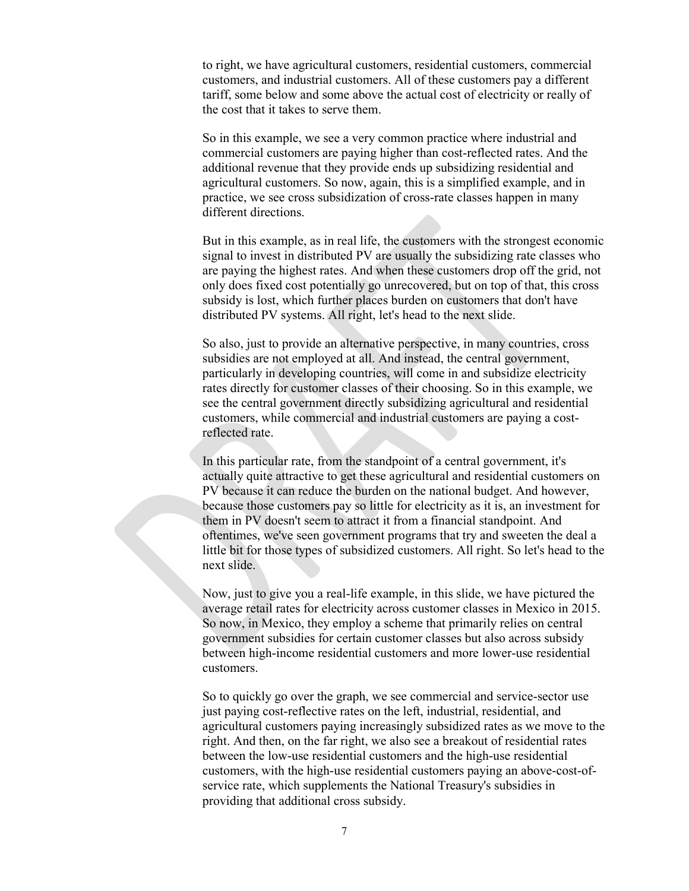to right, we have agricultural customers, residential customers, commercial customers, and industrial customers. All of these customers pay a different tariff, some below and some above the actual cost of electricity or really of the cost that it takes to serve them.

So in this example, we see a very common practice where industrial and commercial customers are paying higher than cost-reflected rates. And the additional revenue that they provide ends up subsidizing residential and agricultural customers. So now, again, this is a simplified example, and in practice, we see cross subsidization of cross-rate classes happen in many different directions.

But in this example, as in real life, the customers with the strongest economic signal to invest in distributed PV are usually the subsidizing rate classes who are paying the highest rates. And when these customers drop off the grid, not only does fixed cost potentially go unrecovered, but on top of that, this cross subsidy is lost, which further places burden on customers that don't have distributed PV systems. All right, let's head to the next slide.

So also, just to provide an alternative perspective, in many countries, cross subsidies are not employed at all. And instead, the central government, particularly in developing countries, will come in and subsidize electricity rates directly for customer classes of their choosing. So in this example, we see the central government directly subsidizing agricultural and residential customers, while commercial and industrial customers are paying a costreflected rate.

In this particular rate, from the standpoint of a central government, it's actually quite attractive to get these agricultural and residential customers on PV because it can reduce the burden on the national budget. And however, because those customers pay so little for electricity as it is, an investment for them in PV doesn't seem to attract it from a financial standpoint. And oftentimes, we've seen government programs that try and sweeten the deal a little bit for those types of subsidized customers. All right. So let's head to the next slide.

Now, just to give you a real-life example, in this slide, we have pictured the average retail rates for electricity across customer classes in Mexico in 2015. So now, in Mexico, they employ a scheme that primarily relies on central government subsidies for certain customer classes but also across subsidy between high-income residential customers and more lower-use residential customers.

So to quickly go over the graph, we see commercial and service-sector use just paying cost-reflective rates on the left, industrial, residential, and agricultural customers paying increasingly subsidized rates as we move to the right. And then, on the far right, we also see a breakout of residential rates between the low-use residential customers and the high-use residential customers, with the high-use residential customers paying an above-cost-ofservice rate, which supplements the National Treasury's subsidies in providing that additional cross subsidy.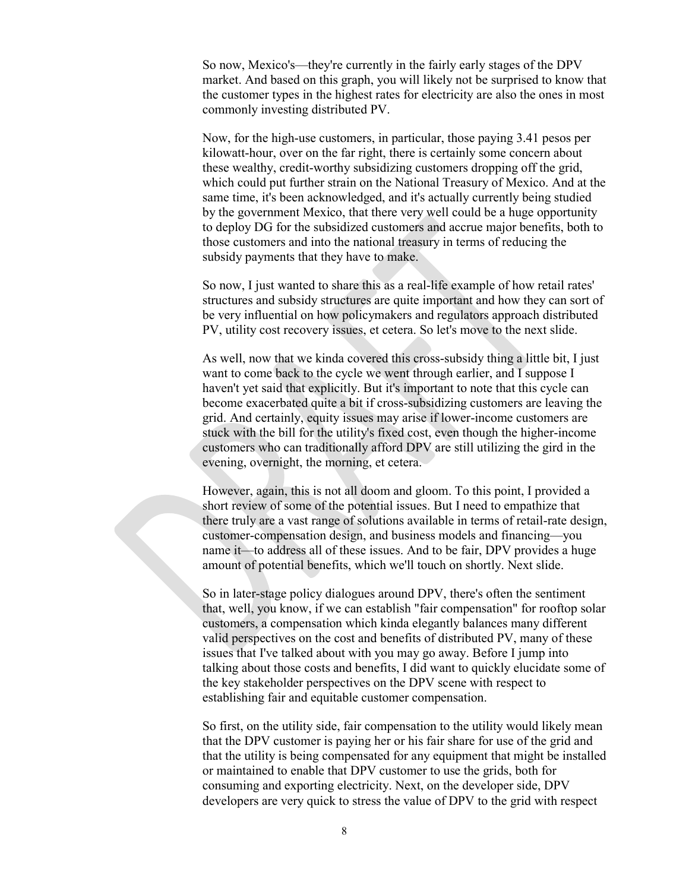So now, Mexico's—they're currently in the fairly early stages of the DPV market. And based on this graph, you will likely not be surprised to know that the customer types in the highest rates for electricity are also the ones in most commonly investing distributed PV.

Now, for the high-use customers, in particular, those paying 3.41 pesos per kilowatt-hour, over on the far right, there is certainly some concern about these wealthy, credit-worthy subsidizing customers dropping off the grid, which could put further strain on the National Treasury of Mexico. And at the same time, it's been acknowledged, and it's actually currently being studied by the government Mexico, that there very well could be a huge opportunity to deploy DG for the subsidized customers and accrue major benefits, both to those customers and into the national treasury in terms of reducing the subsidy payments that they have to make.

So now, I just wanted to share this as a real-life example of how retail rates' structures and subsidy structures are quite important and how they can sort of be very influential on how policymakers and regulators approach distributed PV, utility cost recovery issues, et cetera. So let's move to the next slide.

As well, now that we kinda covered this cross-subsidy thing a little bit, I just want to come back to the cycle we went through earlier, and I suppose I haven't yet said that explicitly. But it's important to note that this cycle can become exacerbated quite a bit if cross-subsidizing customers are leaving the grid. And certainly, equity issues may arise if lower-income customers are stuck with the bill for the utility's fixed cost, even though the higher-income customers who can traditionally afford DPV are still utilizing the gird in the evening, overnight, the morning, et cetera.

However, again, this is not all doom and gloom. To this point, I provided a short review of some of the potential issues. But I need to empathize that there truly are a vast range of solutions available in terms of retail-rate design, customer-compensation design, and business models and financing—you name it—to address all of these issues. And to be fair, DPV provides a huge amount of potential benefits, which we'll touch on shortly. Next slide.

So in later-stage policy dialogues around DPV, there's often the sentiment that, well, you know, if we can establish "fair compensation" for rooftop solar customers, a compensation which kinda elegantly balances many different valid perspectives on the cost and benefits of distributed PV, many of these issues that I've talked about with you may go away. Before I jump into talking about those costs and benefits, I did want to quickly elucidate some of the key stakeholder perspectives on the DPV scene with respect to establishing fair and equitable customer compensation.

So first, on the utility side, fair compensation to the utility would likely mean that the DPV customer is paying her or his fair share for use of the grid and that the utility is being compensated for any equipment that might be installed or maintained to enable that DPV customer to use the grids, both for consuming and exporting electricity. Next, on the developer side, DPV developers are very quick to stress the value of DPV to the grid with respect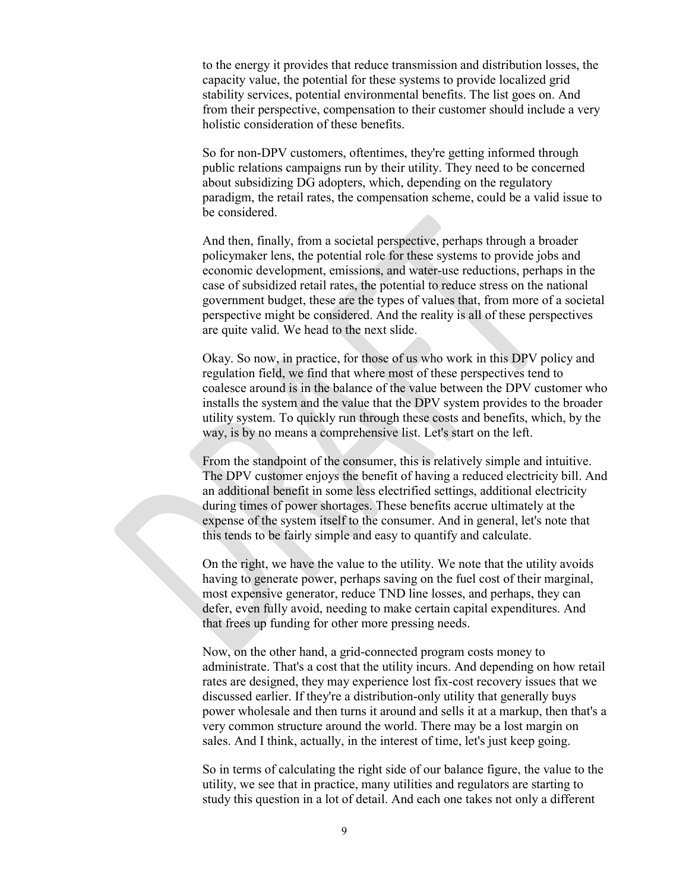to the energy it provides that reduce transmission and distribution losses, the capacity value, the potential for these systems to provide localized grid stability services, potential environmental benefits. The list goes on. And from their perspective, compensation to their customer should include a very holistic consideration of these benefits.

So for non-DPV customers, oftentimes, they're getting informed through public relations campaigns run by their utility. They need to be concerned about subsidizing DG adopters, which, depending on the regulatory paradigm, the retail rates, the compensation scheme, could be a valid issue to be considered.

And then, finally, from a societal perspective, perhaps through a broader policymaker lens, the potential role for these systems to provide jobs and economic development, emissions, and water-use reductions, perhaps in the case of subsidized retail rates, the potential to reduce stress on the national government budget, these are the types of values that, from more of a societal perspective might be considered. And the reality is all of these perspectives are quite valid. We head to the next slide.

Okay. So now, in practice, for those of us who work in this DPV policy and regulation field, we find that where most of these perspectives tend to coalesce around is in the balance of the value between the DPV customer who installs the system and the value that the DPV system provides to the broader utility system. To quickly run through these costs and benefits, which, by the way, is by no means a comprehensive list. Let's start on the left.

From the standpoint of the consumer, this is relatively simple and intuitive. The DPV customer enjoys the benefit of having a reduced electricity bill. And an additional benefit in some less electrified settings, additional electricity during times of power shortages. These benefits accrue ultimately at the expense of the system itself to the consumer. And in general, let's note that this tends to be fairly simple and easy to quantify and calculate.

On the right, we have the value to the utility. We note that the utility avoids having to generate power, perhaps saving on the fuel cost of their marginal, most expensive generator, reduce TND line losses, and perhaps, they can defer, even fully avoid, needing to make certain capital expenditures. And that frees up funding for other more pressing needs.

Now, on the other hand, a grid-connected program costs money to administrate. That's a cost that the utility incurs. And depending on how retail rates are designed, they may experience lost fix-cost recovery issues that we discussed earlier. If they're a distribution-only utility that generally buys power wholesale and then turns it around and sells it at a markup, then that's a very common structure around the world. There may be a lost margin on sales. And I think, actually, in the interest of time, let's just keep going.

So in terms of calculating the right side of our balance figure, the value to the utility, we see that in practice, many utilities and regulators are starting to study this question in a lot of detail. And each one takes not only a different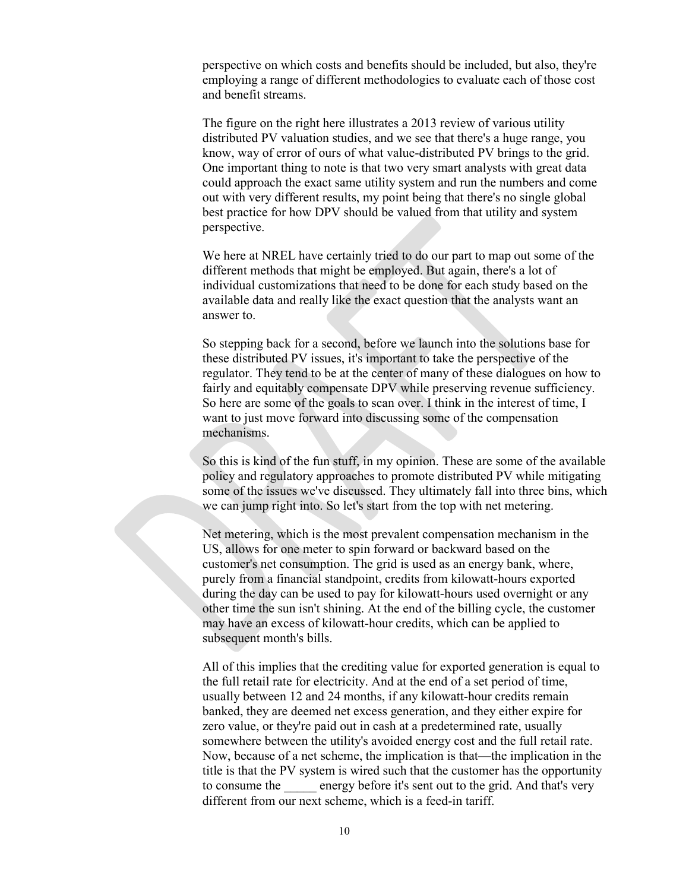perspective on which costs and benefits should be included, but also, they're employing a range of different methodologies to evaluate each of those cost and benefit streams.

The figure on the right here illustrates a 2013 review of various utility distributed PV valuation studies, and we see that there's a huge range, you know, way of error of ours of what value-distributed PV brings to the grid. One important thing to note is that two very smart analysts with great data could approach the exact same utility system and run the numbers and come out with very different results, my point being that there's no single global best practice for how DPV should be valued from that utility and system perspective.

We here at NREL have certainly tried to do our part to map out some of the different methods that might be employed. But again, there's a lot of individual customizations that need to be done for each study based on the available data and really like the exact question that the analysts want an answer to.

So stepping back for a second, before we launch into the solutions base for these distributed PV issues, it's important to take the perspective of the regulator. They tend to be at the center of many of these dialogues on how to fairly and equitably compensate DPV while preserving revenue sufficiency. So here are some of the goals to scan over. I think in the interest of time, I want to just move forward into discussing some of the compensation mechanisms.

So this is kind of the fun stuff, in my opinion. These are some of the available policy and regulatory approaches to promote distributed PV while mitigating some of the issues we've discussed. They ultimately fall into three bins, which we can jump right into. So let's start from the top with net metering.

Net metering, which is the most prevalent compensation mechanism in the US, allows for one meter to spin forward or backward based on the customer's net consumption. The grid is used as an energy bank, where, purely from a financial standpoint, credits from kilowatt-hours exported during the day can be used to pay for kilowatt-hours used overnight or any other time the sun isn't shining. At the end of the billing cycle, the customer may have an excess of kilowatt-hour credits, which can be applied to subsequent month's bills.

All of this implies that the crediting value for exported generation is equal to the full retail rate for electricity. And at the end of a set period of time, usually between 12 and 24 months, if any kilowatt-hour credits remain banked, they are deemed net excess generation, and they either expire for zero value, or they're paid out in cash at a predetermined rate, usually somewhere between the utility's avoided energy cost and the full retail rate. Now, because of a net scheme, the implication is that—the implication in the title is that the PV system is wired such that the customer has the opportunity to consume the \_\_\_\_\_ energy before it's sent out to the grid. And that's very different from our next scheme, which is a feed-in tariff.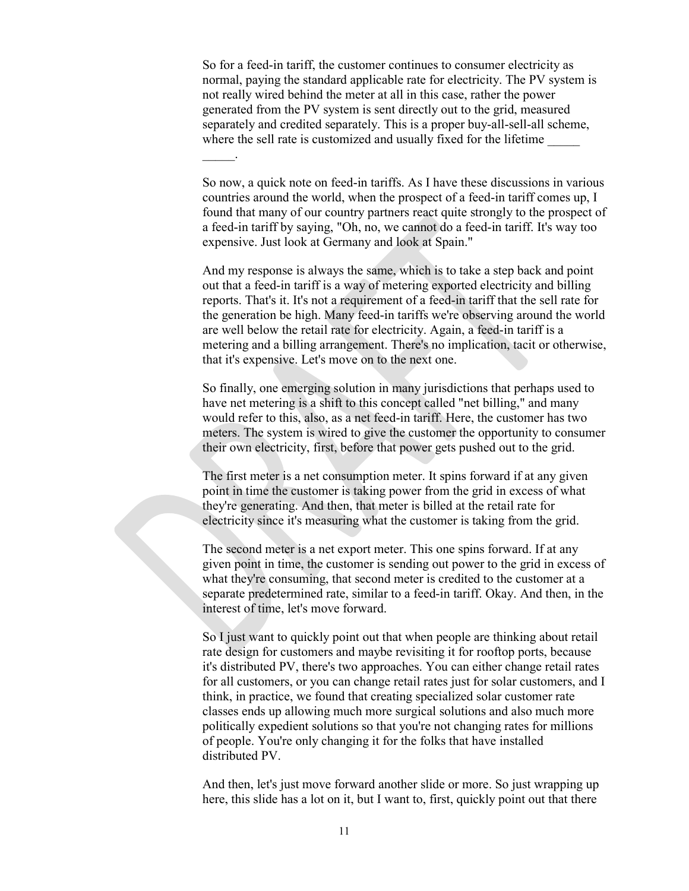So for a feed-in tariff, the customer continues to consumer electricity as normal, paying the standard applicable rate for electricity. The PV system is not really wired behind the meter at all in this case, rather the power generated from the PV system is sent directly out to the grid, measured separately and credited separately. This is a proper buy-all-sell-all scheme, where the sell rate is customized and usually fixed for the lifetime

 $\mathbb{Z}$ 

So now, a quick note on feed-in tariffs. As I have these discussions in various countries around the world, when the prospect of a feed-in tariff comes up, I found that many of our country partners react quite strongly to the prospect of a feed-in tariff by saying, "Oh, no, we cannot do a feed-in tariff. It's way too expensive. Just look at Germany and look at Spain."

And my response is always the same, which is to take a step back and point out that a feed-in tariff is a way of metering exported electricity and billing reports. That's it. It's not a requirement of a feed-in tariff that the sell rate for the generation be high. Many feed-in tariffs we're observing around the world are well below the retail rate for electricity. Again, a feed-in tariff is a metering and a billing arrangement. There's no implication, tacit or otherwise, that it's expensive. Let's move on to the next one.

So finally, one emerging solution in many jurisdictions that perhaps used to have net metering is a shift to this concept called "net billing," and many would refer to this, also, as a net feed-in tariff. Here, the customer has two meters. The system is wired to give the customer the opportunity to consumer their own electricity, first, before that power gets pushed out to the grid.

The first meter is a net consumption meter. It spins forward if at any given point in time the customer is taking power from the grid in excess of what they're generating. And then, that meter is billed at the retail rate for electricity since it's measuring what the customer is taking from the grid.

The second meter is a net export meter. This one spins forward. If at any given point in time, the customer is sending out power to the grid in excess of what they're consuming, that second meter is credited to the customer at a separate predetermined rate, similar to a feed-in tariff. Okay. And then, in the interest of time, let's move forward.

So I just want to quickly point out that when people are thinking about retail rate design for customers and maybe revisiting it for rooftop ports, because it's distributed PV, there's two approaches. You can either change retail rates for all customers, or you can change retail rates just for solar customers, and I think, in practice, we found that creating specialized solar customer rate classes ends up allowing much more surgical solutions and also much more politically expedient solutions so that you're not changing rates for millions of people. You're only changing it for the folks that have installed distributed PV.

And then, let's just move forward another slide or more. So just wrapping up here, this slide has a lot on it, but I want to, first, quickly point out that there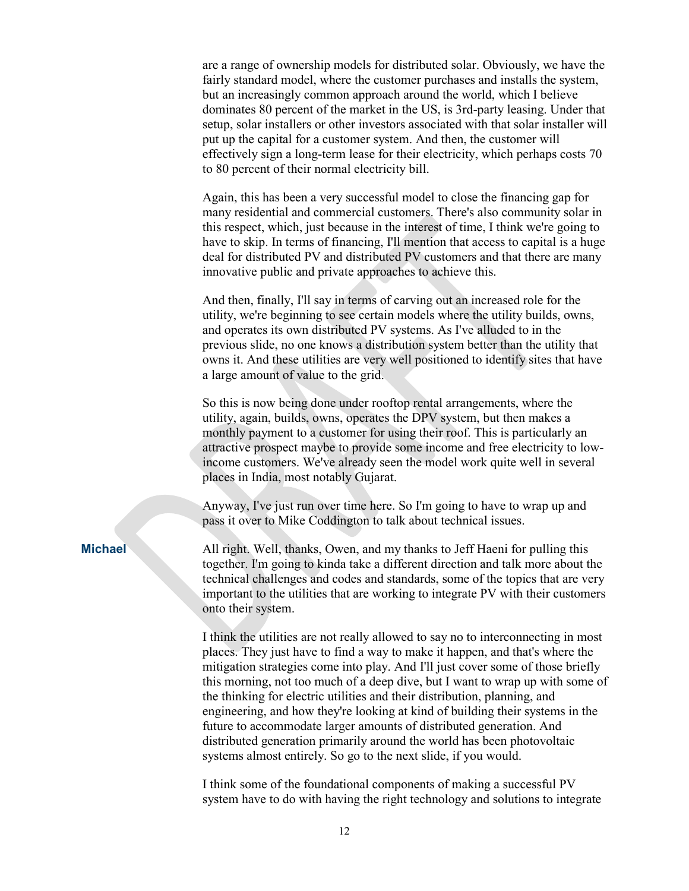are a range of ownership models for distributed solar. Obviously, we have the fairly standard model, where the customer purchases and installs the system, but an increasingly common approach around the world, which I believe dominates 80 percent of the market in the US, is 3rd-party leasing. Under that setup, solar installers or other investors associated with that solar installer will put up the capital for a customer system. And then, the customer will effectively sign a long-term lease for their electricity, which perhaps costs 70 to 80 percent of their normal electricity bill.

Again, this has been a very successful model to close the financing gap for many residential and commercial customers. There's also community solar in this respect, which, just because in the interest of time, I think we're going to have to skip. In terms of financing, I'll mention that access to capital is a huge deal for distributed PV and distributed PV customers and that there are many innovative public and private approaches to achieve this.

And then, finally, I'll say in terms of carving out an increased role for the utility, we're beginning to see certain models where the utility builds, owns, and operates its own distributed PV systems. As I've alluded to in the previous slide, no one knows a distribution system better than the utility that owns it. And these utilities are very well positioned to identify sites that have a large amount of value to the grid.

So this is now being done under rooftop rental arrangements, where the utility, again, builds, owns, operates the DPV system, but then makes a monthly payment to a customer for using their roof. This is particularly an attractive prospect maybe to provide some income and free electricity to lowincome customers. We've already seen the model work quite well in several places in India, most notably Gujarat.

Anyway, I've just run over time here. So I'm going to have to wrap up and pass it over to Mike Coddington to talk about technical issues.

**Michael** All right. Well, thanks, Owen, and my thanks to Jeff Haeni for pulling this together. I'm going to kinda take a different direction and talk more about the technical challenges and codes and standards, some of the topics that are very important to the utilities that are working to integrate PV with their customers onto their system.

> I think the utilities are not really allowed to say no to interconnecting in most places. They just have to find a way to make it happen, and that's where the mitigation strategies come into play. And I'll just cover some of those briefly this morning, not too much of a deep dive, but I want to wrap up with some of the thinking for electric utilities and their distribution, planning, and engineering, and how they're looking at kind of building their systems in the future to accommodate larger amounts of distributed generation. And distributed generation primarily around the world has been photovoltaic systems almost entirely. So go to the next slide, if you would.

I think some of the foundational components of making a successful PV system have to do with having the right technology and solutions to integrate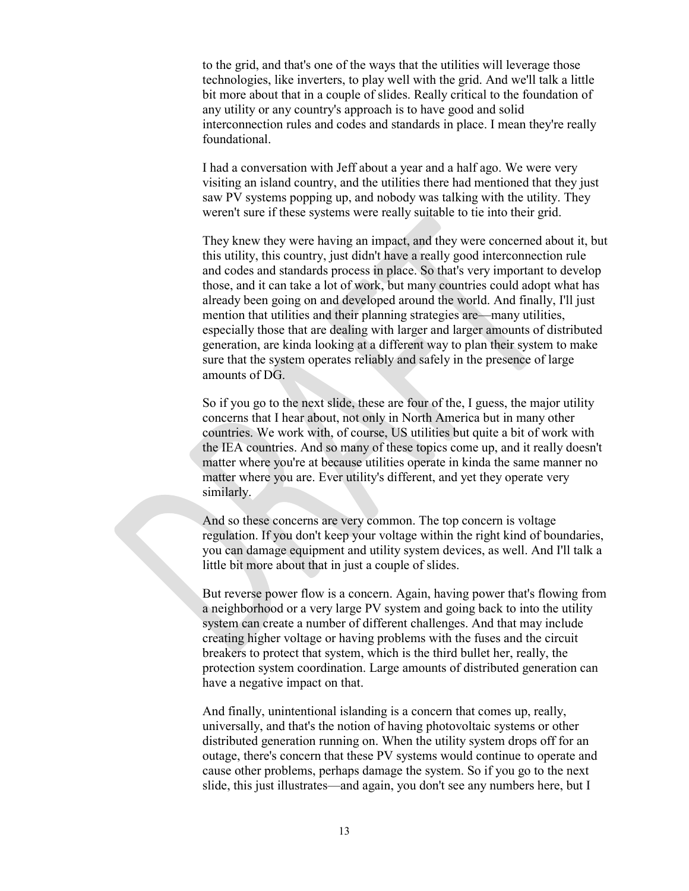to the grid, and that's one of the ways that the utilities will leverage those technologies, like inverters, to play well with the grid. And we'll talk a little bit more about that in a couple of slides. Really critical to the foundation of any utility or any country's approach is to have good and solid interconnection rules and codes and standards in place. I mean they're really foundational.

I had a conversation with Jeff about a year and a half ago. We were very visiting an island country, and the utilities there had mentioned that they just saw PV systems popping up, and nobody was talking with the utility. They weren't sure if these systems were really suitable to tie into their grid.

They knew they were having an impact, and they were concerned about it, but this utility, this country, just didn't have a really good interconnection rule and codes and standards process in place. So that's very important to develop those, and it can take a lot of work, but many countries could adopt what has already been going on and developed around the world. And finally, I'll just mention that utilities and their planning strategies are—many utilities, especially those that are dealing with larger and larger amounts of distributed generation, are kinda looking at a different way to plan their system to make sure that the system operates reliably and safely in the presence of large amounts of DG.

So if you go to the next slide, these are four of the, I guess, the major utility concerns that I hear about, not only in North America but in many other countries. We work with, of course, US utilities but quite a bit of work with the IEA countries. And so many of these topics come up, and it really doesn't matter where you're at because utilities operate in kinda the same manner no matter where you are. Ever utility's different, and yet they operate very similarly.

And so these concerns are very common. The top concern is voltage regulation. If you don't keep your voltage within the right kind of boundaries, you can damage equipment and utility system devices, as well. And I'll talk a little bit more about that in just a couple of slides.

But reverse power flow is a concern. Again, having power that's flowing from a neighborhood or a very large PV system and going back to into the utility system can create a number of different challenges. And that may include creating higher voltage or having problems with the fuses and the circuit breakers to protect that system, which is the third bullet her, really, the protection system coordination. Large amounts of distributed generation can have a negative impact on that.

And finally, unintentional islanding is a concern that comes up, really, universally, and that's the notion of having photovoltaic systems or other distributed generation running on. When the utility system drops off for an outage, there's concern that these PV systems would continue to operate and cause other problems, perhaps damage the system. So if you go to the next slide, this just illustrates—and again, you don't see any numbers here, but I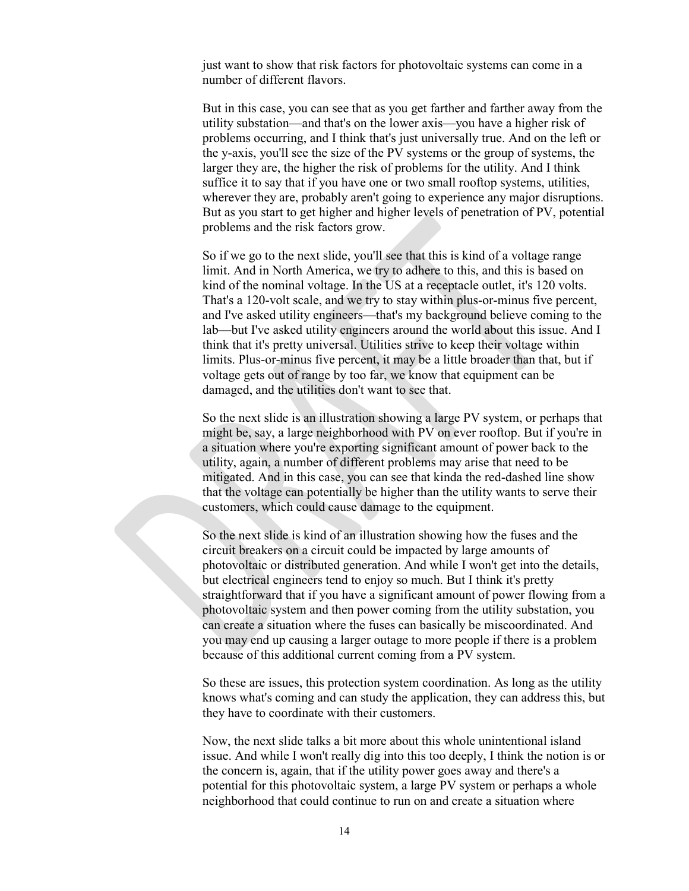just want to show that risk factors for photovoltaic systems can come in a number of different flavors.

But in this case, you can see that as you get farther and farther away from the utility substation—and that's on the lower axis—you have a higher risk of problems occurring, and I think that's just universally true. And on the left or the y-axis, you'll see the size of the PV systems or the group of systems, the larger they are, the higher the risk of problems for the utility. And I think suffice it to say that if you have one or two small rooftop systems, utilities, wherever they are, probably aren't going to experience any major disruptions. But as you start to get higher and higher levels of penetration of PV, potential problems and the risk factors grow.

So if we go to the next slide, you'll see that this is kind of a voltage range limit. And in North America, we try to adhere to this, and this is based on kind of the nominal voltage. In the US at a receptacle outlet, it's 120 volts. That's a 120-volt scale, and we try to stay within plus-or-minus five percent, and I've asked utility engineers—that's my background believe coming to the lab—but I've asked utility engineers around the world about this issue. And I think that it's pretty universal. Utilities strive to keep their voltage within limits. Plus-or-minus five percent, it may be a little broader than that, but if voltage gets out of range by too far, we know that equipment can be damaged, and the utilities don't want to see that.

So the next slide is an illustration showing a large PV system, or perhaps that might be, say, a large neighborhood with PV on ever rooftop. But if you're in a situation where you're exporting significant amount of power back to the utility, again, a number of different problems may arise that need to be mitigated. And in this case, you can see that kinda the red-dashed line show that the voltage can potentially be higher than the utility wants to serve their customers, which could cause damage to the equipment.

So the next slide is kind of an illustration showing how the fuses and the circuit breakers on a circuit could be impacted by large amounts of photovoltaic or distributed generation. And while I won't get into the details, but electrical engineers tend to enjoy so much. But I think it's pretty straightforward that if you have a significant amount of power flowing from a photovoltaic system and then power coming from the utility substation, you can create a situation where the fuses can basically be miscoordinated. And you may end up causing a larger outage to more people if there is a problem because of this additional current coming from a PV system.

So these are issues, this protection system coordination. As long as the utility knows what's coming and can study the application, they can address this, but they have to coordinate with their customers.

Now, the next slide talks a bit more about this whole unintentional island issue. And while I won't really dig into this too deeply, I think the notion is or the concern is, again, that if the utility power goes away and there's a potential for this photovoltaic system, a large PV system or perhaps a whole neighborhood that could continue to run on and create a situation where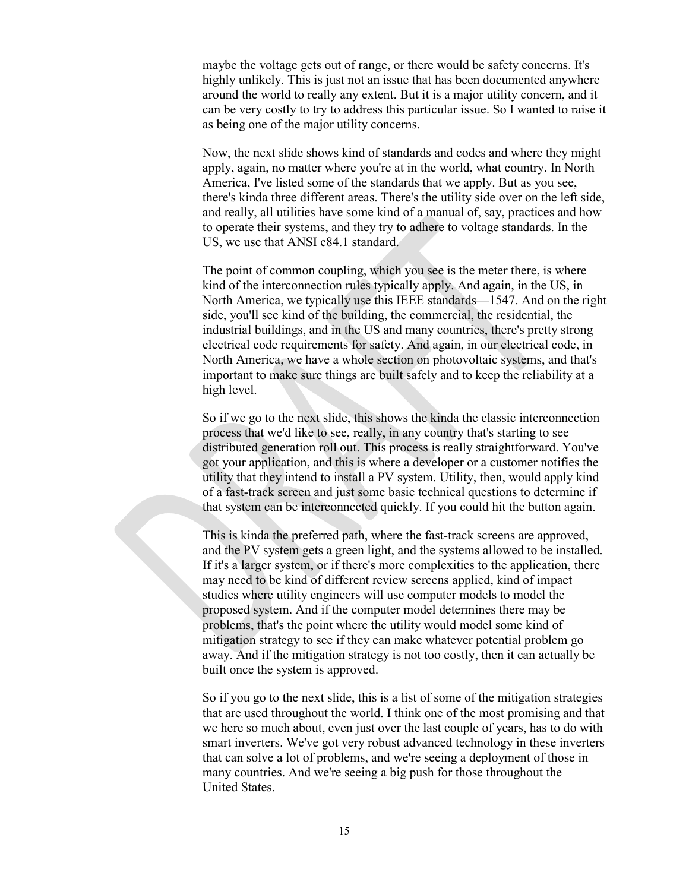maybe the voltage gets out of range, or there would be safety concerns. It's highly unlikely. This is just not an issue that has been documented anywhere around the world to really any extent. But it is a major utility concern, and it can be very costly to try to address this particular issue. So I wanted to raise it as being one of the major utility concerns.

Now, the next slide shows kind of standards and codes and where they might apply, again, no matter where you're at in the world, what country. In North America, I've listed some of the standards that we apply. But as you see, there's kinda three different areas. There's the utility side over on the left side, and really, all utilities have some kind of a manual of, say, practices and how to operate their systems, and they try to adhere to voltage standards. In the US, we use that ANSI c84.1 standard.

The point of common coupling, which you see is the meter there, is where kind of the interconnection rules typically apply. And again, in the US, in North America, we typically use this IEEE standards—1547. And on the right side, you'll see kind of the building, the commercial, the residential, the industrial buildings, and in the US and many countries, there's pretty strong electrical code requirements for safety. And again, in our electrical code, in North America, we have a whole section on photovoltaic systems, and that's important to make sure things are built safely and to keep the reliability at a high level.

So if we go to the next slide, this shows the kinda the classic interconnection process that we'd like to see, really, in any country that's starting to see distributed generation roll out. This process is really straightforward. You've got your application, and this is where a developer or a customer notifies the utility that they intend to install a PV system. Utility, then, would apply kind of a fast-track screen and just some basic technical questions to determine if that system can be interconnected quickly. If you could hit the button again.

This is kinda the preferred path, where the fast-track screens are approved, and the PV system gets a green light, and the systems allowed to be installed. If it's a larger system, or if there's more complexities to the application, there may need to be kind of different review screens applied, kind of impact studies where utility engineers will use computer models to model the proposed system. And if the computer model determines there may be problems, that's the point where the utility would model some kind of mitigation strategy to see if they can make whatever potential problem go away. And if the mitigation strategy is not too costly, then it can actually be built once the system is approved.

So if you go to the next slide, this is a list of some of the mitigation strategies that are used throughout the world. I think one of the most promising and that we here so much about, even just over the last couple of years, has to do with smart inverters. We've got very robust advanced technology in these inverters that can solve a lot of problems, and we're seeing a deployment of those in many countries. And we're seeing a big push for those throughout the United States.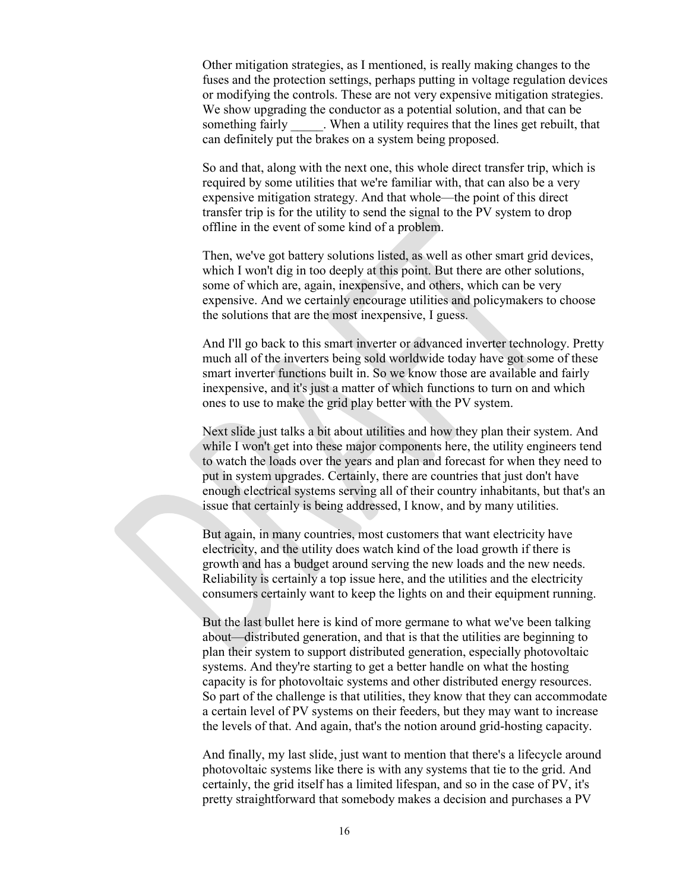Other mitigation strategies, as I mentioned, is really making changes to the fuses and the protection settings, perhaps putting in voltage regulation devices or modifying the controls. These are not very expensive mitigation strategies. We show upgrading the conductor as a potential solution, and that can be something fairly . When a utility requires that the lines get rebuilt, that can definitely put the brakes on a system being proposed.

So and that, along with the next one, this whole direct transfer trip, which is required by some utilities that we're familiar with, that can also be a very expensive mitigation strategy. And that whole—the point of this direct transfer trip is for the utility to send the signal to the PV system to drop offline in the event of some kind of a problem.

Then, we've got battery solutions listed, as well as other smart grid devices, which I won't dig in too deeply at this point. But there are other solutions, some of which are, again, inexpensive, and others, which can be very expensive. And we certainly encourage utilities and policymakers to choose the solutions that are the most inexpensive, I guess.

And I'll go back to this smart inverter or advanced inverter technology. Pretty much all of the inverters being sold worldwide today have got some of these smart inverter functions built in. So we know those are available and fairly inexpensive, and it's just a matter of which functions to turn on and which ones to use to make the grid play better with the PV system.

Next slide just talks a bit about utilities and how they plan their system. And while I won't get into these major components here, the utility engineers tend to watch the loads over the years and plan and forecast for when they need to put in system upgrades. Certainly, there are countries that just don't have enough electrical systems serving all of their country inhabitants, but that's an issue that certainly is being addressed, I know, and by many utilities.

But again, in many countries, most customers that want electricity have electricity, and the utility does watch kind of the load growth if there is growth and has a budget around serving the new loads and the new needs. Reliability is certainly a top issue here, and the utilities and the electricity consumers certainly want to keep the lights on and their equipment running.

But the last bullet here is kind of more germane to what we've been talking about—distributed generation, and that is that the utilities are beginning to plan their system to support distributed generation, especially photovoltaic systems. And they're starting to get a better handle on what the hosting capacity is for photovoltaic systems and other distributed energy resources. So part of the challenge is that utilities, they know that they can accommodate a certain level of PV systems on their feeders, but they may want to increase the levels of that. And again, that's the notion around grid-hosting capacity.

And finally, my last slide, just want to mention that there's a lifecycle around photovoltaic systems like there is with any systems that tie to the grid. And certainly, the grid itself has a limited lifespan, and so in the case of PV, it's pretty straightforward that somebody makes a decision and purchases a PV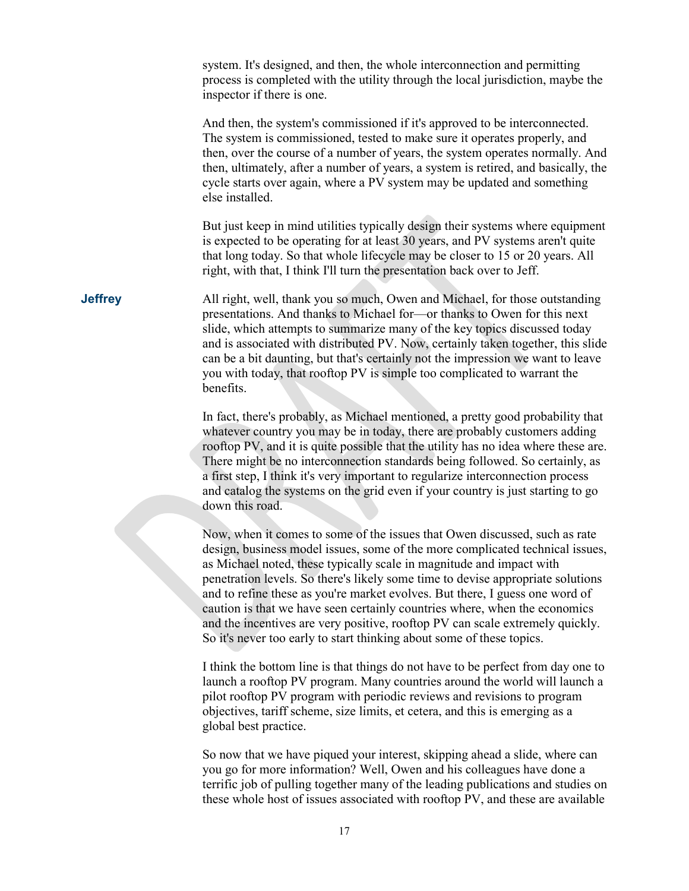system. It's designed, and then, the whole interconnection and permitting process is completed with the utility through the local jurisdiction, maybe the inspector if there is one.

And then, the system's commissioned if it's approved to be interconnected. The system is commissioned, tested to make sure it operates properly, and then, over the course of a number of years, the system operates normally. And then, ultimately, after a number of years, a system is retired, and basically, the cycle starts over again, where a PV system may be updated and something else installed.

But just keep in mind utilities typically design their systems where equipment is expected to be operating for at least 30 years, and PV systems aren't quite that long today. So that whole lifecycle may be closer to 15 or 20 years. All right, with that, I think I'll turn the presentation back over to Jeff.

**Jeffrey** All right, well, thank you so much, Owen and Michael, for those outstanding presentations. And thanks to Michael for—or thanks to Owen for this next slide, which attempts to summarize many of the key topics discussed today and is associated with distributed PV. Now, certainly taken together, this slide can be a bit daunting, but that's certainly not the impression we want to leave you with today, that rooftop PV is simple too complicated to warrant the benefits.

> In fact, there's probably, as Michael mentioned, a pretty good probability that whatever country you may be in today, there are probably customers adding rooftop PV, and it is quite possible that the utility has no idea where these are. There might be no interconnection standards being followed. So certainly, as a first step, I think it's very important to regularize interconnection process and catalog the systems on the grid even if your country is just starting to go down this road.

> Now, when it comes to some of the issues that Owen discussed, such as rate design, business model issues, some of the more complicated technical issues, as Michael noted, these typically scale in magnitude and impact with penetration levels. So there's likely some time to devise appropriate solutions and to refine these as you're market evolves. But there, I guess one word of caution is that we have seen certainly countries where, when the economics and the incentives are very positive, rooftop PV can scale extremely quickly. So it's never too early to start thinking about some of these topics.

> I think the bottom line is that things do not have to be perfect from day one to launch a rooftop PV program. Many countries around the world will launch a pilot rooftop PV program with periodic reviews and revisions to program objectives, tariff scheme, size limits, et cetera, and this is emerging as a global best practice.

> So now that we have piqued your interest, skipping ahead a slide, where can you go for more information? Well, Owen and his colleagues have done a terrific job of pulling together many of the leading publications and studies on these whole host of issues associated with rooftop PV, and these are available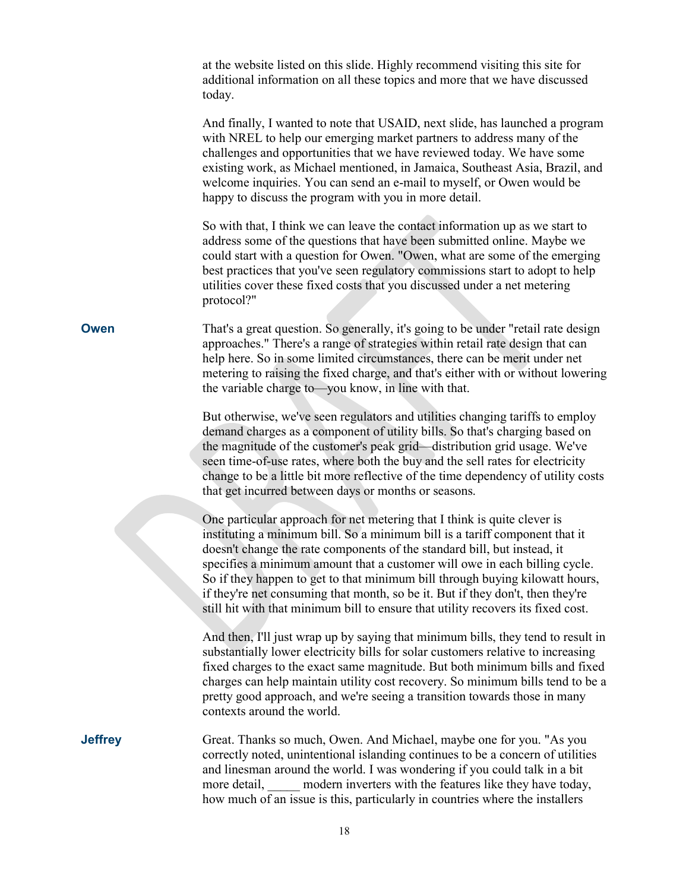at the website listed on this slide. Highly recommend visiting this site for additional information on all these topics and more that we have discussed today.

And finally, I wanted to note that USAID, next slide, has launched a program with NREL to help our emerging market partners to address many of the challenges and opportunities that we have reviewed today. We have some existing work, as Michael mentioned, in Jamaica, Southeast Asia, Brazil, and welcome inquiries. You can send an e-mail to myself, or Owen would be happy to discuss the program with you in more detail.

So with that, I think we can leave the contact information up as we start to address some of the questions that have been submitted online. Maybe we could start with a question for Owen. "Owen, what are some of the emerging best practices that you've seen regulatory commissions start to adopt to help utilities cover these fixed costs that you discussed under a net metering protocol?"

**Owen** That's a great question. So generally, it's going to be under "retail rate design approaches." There's a range of strategies within retail rate design that can help here. So in some limited circumstances, there can be merit under net metering to raising the fixed charge, and that's either with or without lowering the variable charge to—you know, in line with that.

> But otherwise, we've seen regulators and utilities changing tariffs to employ demand charges as a component of utility bills. So that's charging based on the magnitude of the customer's peak grid—distribution grid usage. We've seen time-of-use rates, where both the buy and the sell rates for electricity change to be a little bit more reflective of the time dependency of utility costs that get incurred between days or months or seasons.

One particular approach for net metering that I think is quite clever is instituting a minimum bill. So a minimum bill is a tariff component that it doesn't change the rate components of the standard bill, but instead, it specifies a minimum amount that a customer will owe in each billing cycle. So if they happen to get to that minimum bill through buying kilowatt hours, if they're net consuming that month, so be it. But if they don't, then they're still hit with that minimum bill to ensure that utility recovers its fixed cost.

And then, I'll just wrap up by saying that minimum bills, they tend to result in substantially lower electricity bills for solar customers relative to increasing fixed charges to the exact same magnitude. But both minimum bills and fixed charges can help maintain utility cost recovery. So minimum bills tend to be a pretty good approach, and we're seeing a transition towards those in many contexts around the world.

**Jeffrey** Great. Thanks so much, Owen. And Michael, maybe one for you. "As you correctly noted, unintentional islanding continues to be a concern of utilities and linesman around the world. I was wondering if you could talk in a bit more detail, modern inverters with the features like they have today, how much of an issue is this, particularly in countries where the installers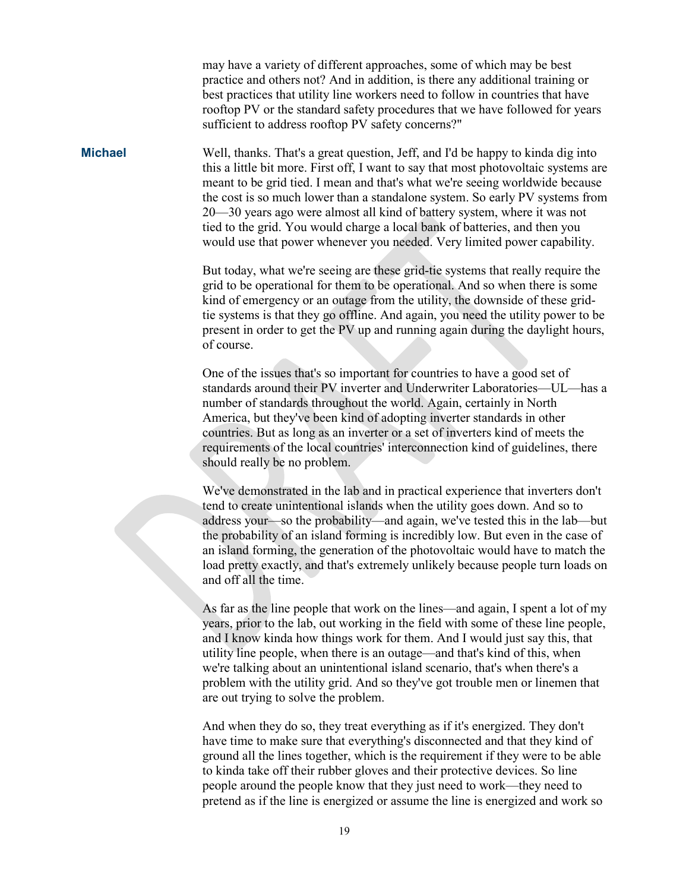may have a variety of different approaches, some of which may be best practice and others not? And in addition, is there any additional training or best practices that utility line workers need to follow in countries that have rooftop PV or the standard safety procedures that we have followed for years sufficient to address rooftop PV safety concerns?"

**Michael** Well, thanks. That's a great question, Jeff, and I'd be happy to kinda dig into this a little bit more. First off, I want to say that most photovoltaic systems are meant to be grid tied. I mean and that's what we're seeing worldwide because the cost is so much lower than a standalone system. So early PV systems from 20—30 years ago were almost all kind of battery system, where it was not tied to the grid. You would charge a local bank of batteries, and then you would use that power whenever you needed. Very limited power capability.

> But today, what we're seeing are these grid-tie systems that really require the grid to be operational for them to be operational. And so when there is some kind of emergency or an outage from the utility, the downside of these gridtie systems is that they go offline. And again, you need the utility power to be present in order to get the PV up and running again during the daylight hours, of course.

> One of the issues that's so important for countries to have a good set of standards around their PV inverter and Underwriter Laboratories—UL—has a number of standards throughout the world. Again, certainly in North America, but they've been kind of adopting inverter standards in other countries. But as long as an inverter or a set of inverters kind of meets the requirements of the local countries' interconnection kind of guidelines, there should really be no problem.

> We've demonstrated in the lab and in practical experience that inverters don't tend to create unintentional islands when the utility goes down. And so to address your—so the probability—and again, we've tested this in the lab—but the probability of an island forming is incredibly low. But even in the case of an island forming, the generation of the photovoltaic would have to match the load pretty exactly, and that's extremely unlikely because people turn loads on and off all the time.

> As far as the line people that work on the lines—and again, I spent a lot of my years, prior to the lab, out working in the field with some of these line people, and I know kinda how things work for them. And I would just say this, that utility line people, when there is an outage—and that's kind of this, when we're talking about an unintentional island scenario, that's when there's a problem with the utility grid. And so they've got trouble men or linemen that are out trying to solve the problem.

And when they do so, they treat everything as if it's energized. They don't have time to make sure that everything's disconnected and that they kind of ground all the lines together, which is the requirement if they were to be able to kinda take off their rubber gloves and their protective devices. So line people around the people know that they just need to work—they need to pretend as if the line is energized or assume the line is energized and work so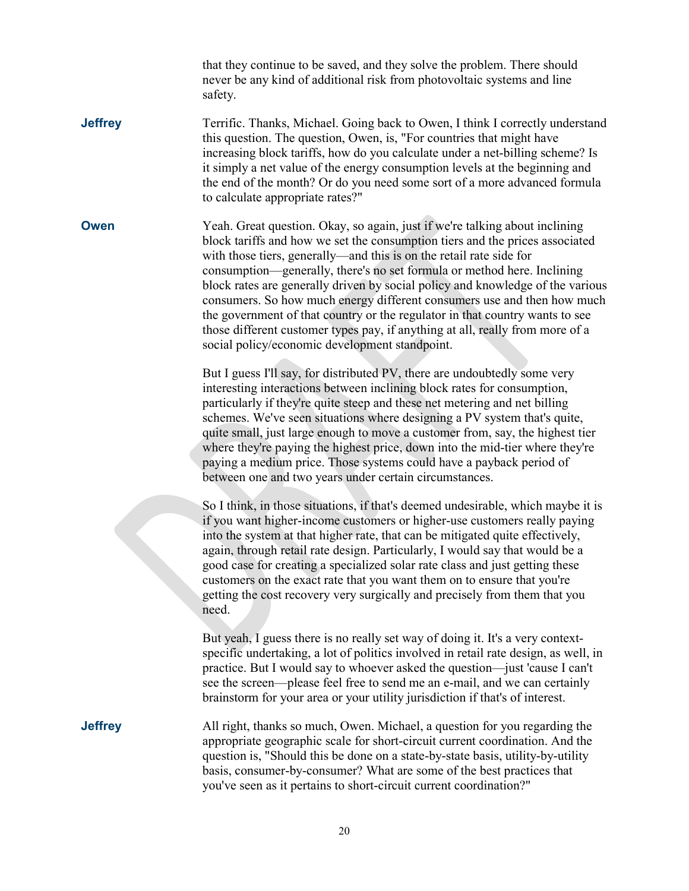that they continue to be saved, and they solve the problem. There should never be any kind of additional risk from photovoltaic systems and line safety.

**Jeffrey** Terrific. Thanks, Michael. Going back to Owen, I think I correctly understand this question. The question, Owen, is, "For countries that might have increasing block tariffs, how do you calculate under a net-billing scheme? Is it simply a net value of the energy consumption levels at the beginning and the end of the month? Or do you need some sort of a more advanced formula to calculate appropriate rates?"

**Owen** Yeah. Great question. Okay, so again, just if we're talking about inclining block tariffs and how we set the consumption tiers and the prices associated with those tiers, generally—and this is on the retail rate side for consumption—generally, there's no set formula or method here. Inclining block rates are generally driven by social policy and knowledge of the various consumers. So how much energy different consumers use and then how much the government of that country or the regulator in that country wants to see those different customer types pay, if anything at all, really from more of a social policy/economic development standpoint.

> But I guess I'll say, for distributed PV, there are undoubtedly some very interesting interactions between inclining block rates for consumption, particularly if they're quite steep and these net metering and net billing schemes. We've seen situations where designing a PV system that's quite, quite small, just large enough to move a customer from, say, the highest tier where they're paying the highest price, down into the mid-tier where they're paying a medium price. Those systems could have a payback period of between one and two years under certain circumstances.

So I think, in those situations, if that's deemed undesirable, which maybe it is if you want higher-income customers or higher-use customers really paying into the system at that higher rate, that can be mitigated quite effectively, again, through retail rate design. Particularly, I would say that would be a good case for creating a specialized solar rate class and just getting these customers on the exact rate that you want them on to ensure that you're getting the cost recovery very surgically and precisely from them that you need.

But yeah, I guess there is no really set way of doing it. It's a very contextspecific undertaking, a lot of politics involved in retail rate design, as well, in practice. But I would say to whoever asked the question—just 'cause I can't see the screen—please feel free to send me an e-mail, and we can certainly brainstorm for your area or your utility jurisdiction if that's of interest.

**Jeffrey** All right, thanks so much, Owen. Michael, a question for you regarding the appropriate geographic scale for short-circuit current coordination. And the question is, "Should this be done on a state-by-state basis, utility-by-utility basis, consumer-by-consumer? What are some of the best practices that you've seen as it pertains to short-circuit current coordination?"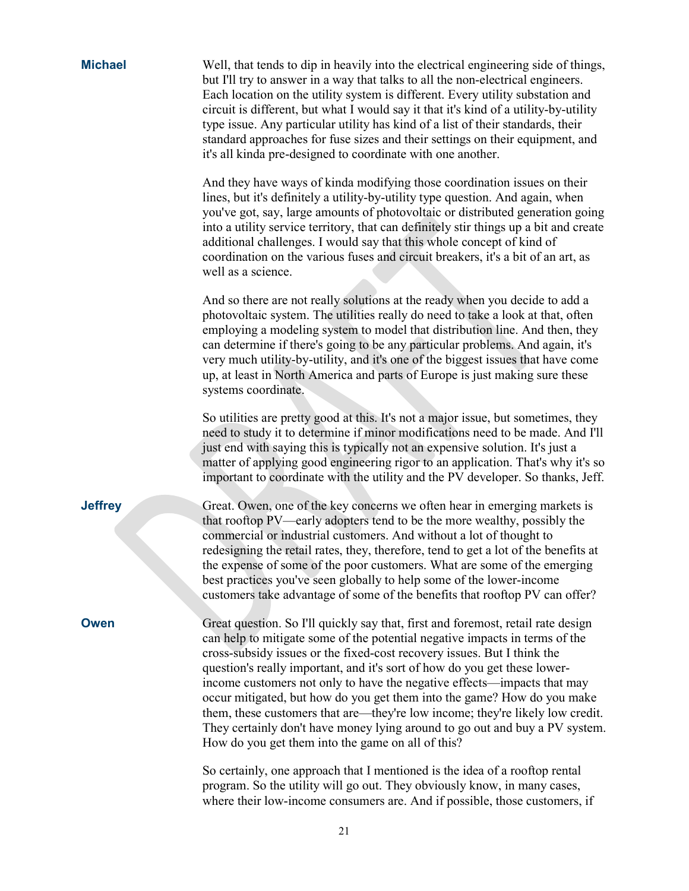| <b>Michael</b> | Well, that tends to dip in heavily into the electrical engineering side of things,<br>but I'll try to answer in a way that talks to all the non-electrical engineers.<br>Each location on the utility system is different. Every utility substation and<br>circuit is different, but what I would say it that it's kind of a utility-by-utility<br>type issue. Any particular utility has kind of a list of their standards, their<br>standard approaches for fuse sizes and their settings on their equipment, and<br>it's all kinda pre-designed to coordinate with one another.                                                                                                                 |
|----------------|----------------------------------------------------------------------------------------------------------------------------------------------------------------------------------------------------------------------------------------------------------------------------------------------------------------------------------------------------------------------------------------------------------------------------------------------------------------------------------------------------------------------------------------------------------------------------------------------------------------------------------------------------------------------------------------------------|
|                | And they have ways of kinda modifying those coordination issues on their<br>lines, but it's definitely a utility-by-utility type question. And again, when<br>you've got, say, large amounts of photovoltaic or distributed generation going<br>into a utility service territory, that can definitely stir things up a bit and create<br>additional challenges. I would say that this whole concept of kind of<br>coordination on the various fuses and circuit breakers, it's a bit of an art, as<br>well as a science.                                                                                                                                                                           |
|                | And so there are not really solutions at the ready when you decide to add a<br>photovoltaic system. The utilities really do need to take a look at that, often<br>employing a modeling system to model that distribution line. And then, they<br>can determine if there's going to be any particular problems. And again, it's<br>very much utility-by-utility, and it's one of the biggest issues that have come<br>up, at least in North America and parts of Europe is just making sure these<br>systems coordinate.                                                                                                                                                                            |
|                | So utilities are pretty good at this. It's not a major issue, but sometimes, they<br>need to study it to determine if minor modifications need to be made. And I'll<br>just end with saying this is typically not an expensive solution. It's just a<br>matter of applying good engineering rigor to an application. That's why it's so<br>important to coordinate with the utility and the PV developer. So thanks, Jeff.                                                                                                                                                                                                                                                                         |
| <b>Jeffrey</b> | Great. Owen, one of the key concerns we often hear in emerging markets is<br>that rooftop PV—early adopters tend to be the more wealthy, possibly the<br>commercial or industrial customers. And without a lot of thought to<br>redesigning the retail rates, they, therefore, tend to get a lot of the benefits at<br>the expense of some of the poor customers. What are some of the emerging<br>best practices you've seen globally to help some of the lower-income<br>customers take advantage of some of the benefits that rooftop PV can offer?                                                                                                                                             |
| Owen           | Great question. So I'll quickly say that, first and foremost, retail rate design<br>can help to mitigate some of the potential negative impacts in terms of the<br>cross-subsidy issues or the fixed-cost recovery issues. But I think the<br>question's really important, and it's sort of how do you get these lower-<br>income customers not only to have the negative effects—impacts that may<br>occur mitigated, but how do you get them into the game? How do you make<br>them, these customers that are—they're low income; they're likely low credit.<br>They certainly don't have money lying around to go out and buy a PV system.<br>How do you get them into the game on all of this? |
|                | So certainly, one approach that I mentioned is the idea of a rooftop rental                                                                                                                                                                                                                                                                                                                                                                                                                                                                                                                                                                                                                        |

So certainly, one approach that I mentioned is the idea of a rooftop rental program. So the utility will go out. They obviously know, in many cases, where their low-income consumers are. And if possible, those customers, if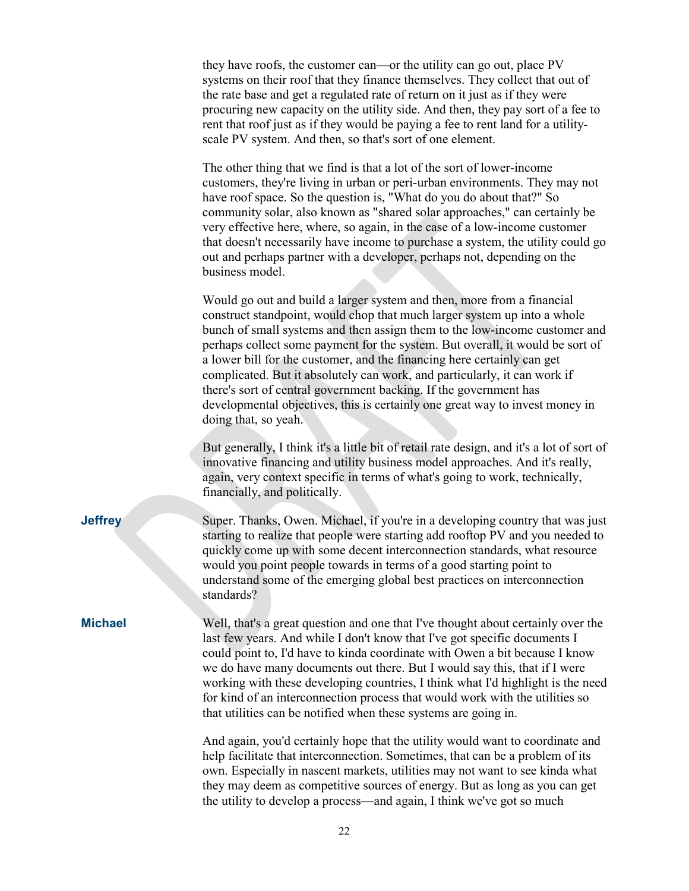| they have roofs, the customer can—or the utility can go out, place PV            |  |  |
|----------------------------------------------------------------------------------|--|--|
| systems on their roof that they finance themselves. They collect that out of     |  |  |
| the rate base and get a regulated rate of return on it just as if they were      |  |  |
| procuring new capacity on the utility side. And then, they pay sort of a fee to  |  |  |
| rent that roof just as if they would be paying a fee to rent land for a utility- |  |  |
| scale PV system. And then, so that's sort of one element.                        |  |  |

The other thing that we find is that a lot of the sort of lower-income customers, they're living in urban or peri-urban environments. They may not have roof space. So the question is, "What do you do about that?" So community solar, also known as "shared solar approaches," can certainly be very effective here, where, so again, in the case of a low-income customer that doesn't necessarily have income to purchase a system, the utility could go out and perhaps partner with a developer, perhaps not, depending on the business model.

Would go out and build a larger system and then, more from a financial construct standpoint, would chop that much larger system up into a whole bunch of small systems and then assign them to the low-income customer and perhaps collect some payment for the system. But overall, it would be sort of a lower bill for the customer, and the financing here certainly can get complicated. But it absolutely can work, and particularly, it can work if there's sort of central government backing. If the government has developmental objectives, this is certainly one great way to invest money in doing that, so yeah.

But generally, I think it's a little bit of retail rate design, and it's a lot of sort of innovative financing and utility business model approaches. And it's really, again, very context specific in terms of what's going to work, technically, financially, and politically.

**Jeffrey** Super. Thanks, Owen. Michael, if you're in a developing country that was just starting to realize that people were starting add rooftop PV and you needed to quickly come up with some decent interconnection standards, what resource would you point people towards in terms of a good starting point to understand some of the emerging global best practices on interconnection standards?

**Michael** Well, that's a great question and one that I've thought about certainly over the last few years. And while I don't know that I've got specific documents I could point to, I'd have to kinda coordinate with Owen a bit because I know we do have many documents out there. But I would say this, that if I were working with these developing countries, I think what I'd highlight is the need for kind of an interconnection process that would work with the utilities so that utilities can be notified when these systems are going in.

> And again, you'd certainly hope that the utility would want to coordinate and help facilitate that interconnection. Sometimes, that can be a problem of its own. Especially in nascent markets, utilities may not want to see kinda what they may deem as competitive sources of energy. But as long as you can get the utility to develop a process—and again, I think we've got so much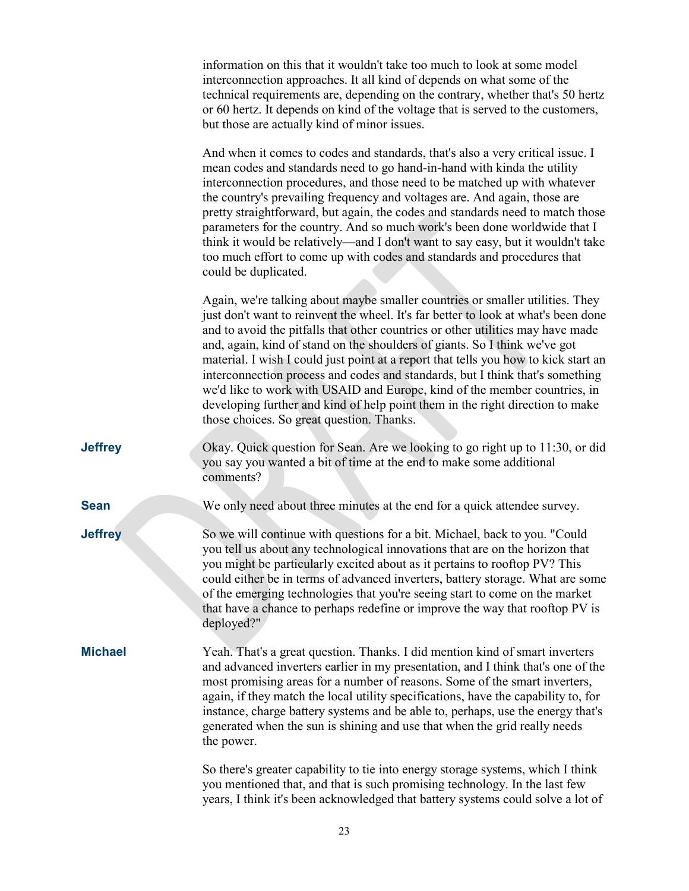|                | information on this that it wouldn't take too much to look at some model<br>interconnection approaches. It all kind of depends on what some of the<br>technical requirements are, depending on the contrary, whether that's 50 hertz<br>or 60 hertz. It depends on kind of the voltage that is served to the customers,<br>but those are actually kind of minor issues.                                                                                                                                                                                                                                                                                                                                                 |
|----------------|-------------------------------------------------------------------------------------------------------------------------------------------------------------------------------------------------------------------------------------------------------------------------------------------------------------------------------------------------------------------------------------------------------------------------------------------------------------------------------------------------------------------------------------------------------------------------------------------------------------------------------------------------------------------------------------------------------------------------|
|                | And when it comes to codes and standards, that's also a very critical issue. I<br>mean codes and standards need to go hand-in-hand with kinda the utility<br>interconnection procedures, and those need to be matched up with whatever<br>the country's prevailing frequency and voltages are. And again, those are<br>pretty straightforward, but again, the codes and standards need to match those<br>parameters for the country. And so much work's been done worldwide that I<br>think it would be relatively—and I don't want to say easy, but it wouldn't take<br>too much effort to come up with codes and standards and procedures that<br>could be duplicated.                                                |
|                | Again, we're talking about maybe smaller countries or smaller utilities. They<br>just don't want to reinvent the wheel. It's far better to look at what's been done<br>and to avoid the pitfalls that other countries or other utilities may have made<br>and, again, kind of stand on the shoulders of giants. So I think we've got<br>material. I wish I could just point at a report that tells you how to kick start an<br>interconnection process and codes and standards, but I think that's something<br>we'd like to work with USAID and Europe, kind of the member countries, in<br>developing further and kind of help point them in the right direction to make<br>those choices. So great question. Thanks. |
| <b>Jeffrey</b> | Okay. Quick question for Sean. Are we looking to go right up to 11:30, or did<br>you say you wanted a bit of time at the end to make some additional<br>comments?                                                                                                                                                                                                                                                                                                                                                                                                                                                                                                                                                       |
| <b>Sean</b>    | We only need about three minutes at the end for a quick attendee survey.                                                                                                                                                                                                                                                                                                                                                                                                                                                                                                                                                                                                                                                |
| <b>Jeffrey</b> | So we will continue with questions for a bit. Michael, back to you. "Could<br>you tell us about any technological innovations that are on the horizon that<br>you might be particularly excited about as it pertains to rooftop PV? This<br>could either be in terms of advanced inverters, battery storage. What are some<br>of the emerging technologies that you're seeing start to come on the market<br>that have a chance to perhaps redefine or improve the way that rooftop PV is<br>deployed?"                                                                                                                                                                                                                 |
| <b>Michael</b> | Yeah. That's a great question. Thanks. I did mention kind of smart inverters<br>and advanced inverters earlier in my presentation, and I think that's one of the<br>most promising areas for a number of reasons. Some of the smart inverters,<br>again, if they match the local utility specifications, have the capability to, for<br>instance, charge battery systems and be able to, perhaps, use the energy that's<br>generated when the sun is shining and use that when the grid really needs<br>the power.                                                                                                                                                                                                      |
|                | So there's greater capability to tie into energy storage systems, which I think<br>you mentioned that, and that is such promising technology. In the last few<br>years, I think it's been acknowledged that battery systems could solve a lot of                                                                                                                                                                                                                                                                                                                                                                                                                                                                        |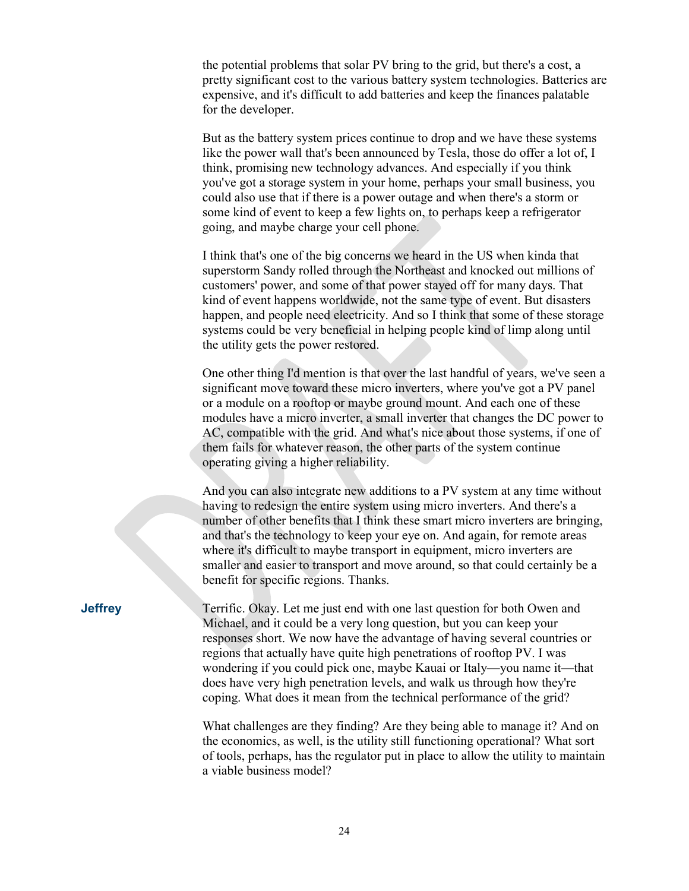the potential problems that solar PV bring to the grid, but there's a cost, a pretty significant cost to the various battery system technologies. Batteries are expensive, and it's difficult to add batteries and keep the finances palatable for the developer.

But as the battery system prices continue to drop and we have these systems like the power wall that's been announced by Tesla, those do offer a lot of, I think, promising new technology advances. And especially if you think you've got a storage system in your home, perhaps your small business, you could also use that if there is a power outage and when there's a storm or some kind of event to keep a few lights on, to perhaps keep a refrigerator going, and maybe charge your cell phone.

I think that's one of the big concerns we heard in the US when kinda that superstorm Sandy rolled through the Northeast and knocked out millions of customers' power, and some of that power stayed off for many days. That kind of event happens worldwide, not the same type of event. But disasters happen, and people need electricity. And so I think that some of these storage systems could be very beneficial in helping people kind of limp along until the utility gets the power restored.

One other thing I'd mention is that over the last handful of years, we've seen a significant move toward these micro inverters, where you've got a PV panel or a module on a rooftop or maybe ground mount. And each one of these modules have a micro inverter, a small inverter that changes the DC power to AC, compatible with the grid. And what's nice about those systems, if one of them fails for whatever reason, the other parts of the system continue operating giving a higher reliability.

And you can also integrate new additions to a PV system at any time without having to redesign the entire system using micro inverters. And there's a number of other benefits that I think these smart micro inverters are bringing, and that's the technology to keep your eye on. And again, for remote areas where it's difficult to maybe transport in equipment, micro inverters are smaller and easier to transport and move around, so that could certainly be a benefit for specific regions. Thanks.

**Jeffrey** Terrific. Okay. Let me just end with one last question for both Owen and Michael, and it could be a very long question, but you can keep your responses short. We now have the advantage of having several countries or regions that actually have quite high penetrations of rooftop PV. I was wondering if you could pick one, maybe Kauai or Italy—you name it—that does have very high penetration levels, and walk us through how they're coping. What does it mean from the technical performance of the grid?

> What challenges are they finding? Are they being able to manage it? And on the economics, as well, is the utility still functioning operational? What sort of tools, perhaps, has the regulator put in place to allow the utility to maintain a viable business model?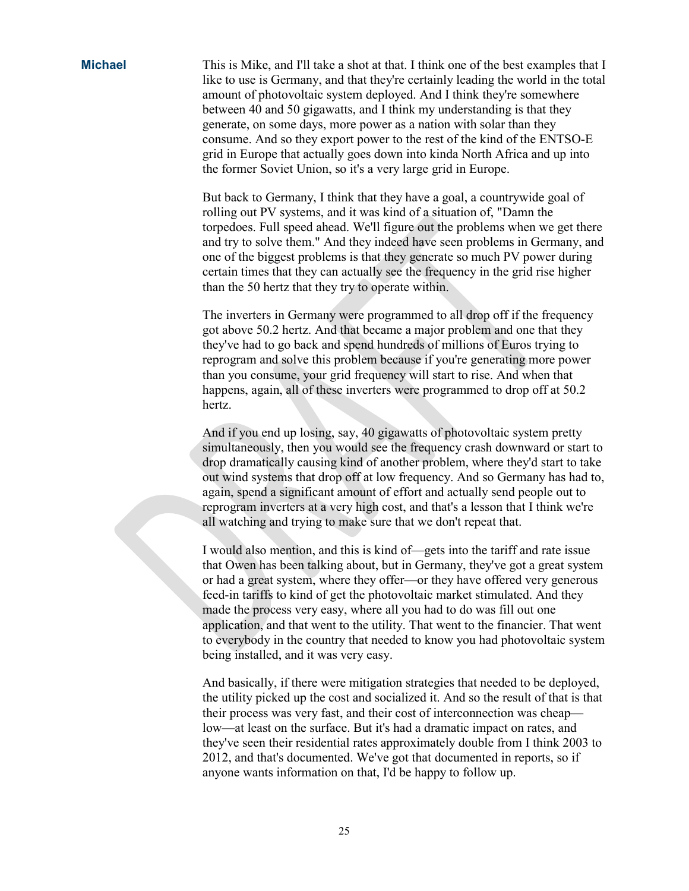**Michael** This is Mike, and I'll take a shot at that. I think one of the best examples that I like to use is Germany, and that they're certainly leading the world in the total amount of photovoltaic system deployed. And I think they're somewhere between 40 and 50 gigawatts, and I think my understanding is that they generate, on some days, more power as a nation with solar than they consume. And so they export power to the rest of the kind of the ENTSO-E grid in Europe that actually goes down into kinda North Africa and up into the former Soviet Union, so it's a very large grid in Europe.

> But back to Germany, I think that they have a goal, a countrywide goal of rolling out PV systems, and it was kind of a situation of, "Damn the torpedoes. Full speed ahead. We'll figure out the problems when we get there and try to solve them." And they indeed have seen problems in Germany, and one of the biggest problems is that they generate so much PV power during certain times that they can actually see the frequency in the grid rise higher than the 50 hertz that they try to operate within.

The inverters in Germany were programmed to all drop off if the frequency got above 50.2 hertz. And that became a major problem and one that they they've had to go back and spend hundreds of millions of Euros trying to reprogram and solve this problem because if you're generating more power than you consume, your grid frequency will start to rise. And when that happens, again, all of these inverters were programmed to drop off at 50.2 hertz.

And if you end up losing, say, 40 gigawatts of photovoltaic system pretty simultaneously, then you would see the frequency crash downward or start to drop dramatically causing kind of another problem, where they'd start to take out wind systems that drop off at low frequency. And so Germany has had to, again, spend a significant amount of effort and actually send people out to reprogram inverters at a very high cost, and that's a lesson that I think we're all watching and trying to make sure that we don't repeat that.

I would also mention, and this is kind of—gets into the tariff and rate issue that Owen has been talking about, but in Germany, they've got a great system or had a great system, where they offer—or they have offered very generous feed-in tariffs to kind of get the photovoltaic market stimulated. And they made the process very easy, where all you had to do was fill out one application, and that went to the utility. That went to the financier. That went to everybody in the country that needed to know you had photovoltaic system being installed, and it was very easy.

And basically, if there were mitigation strategies that needed to be deployed, the utility picked up the cost and socialized it. And so the result of that is that their process was very fast, and their cost of interconnection was cheap low—at least on the surface. But it's had a dramatic impact on rates, and they've seen their residential rates approximately double from I think 2003 to 2012, and that's documented. We've got that documented in reports, so if anyone wants information on that, I'd be happy to follow up.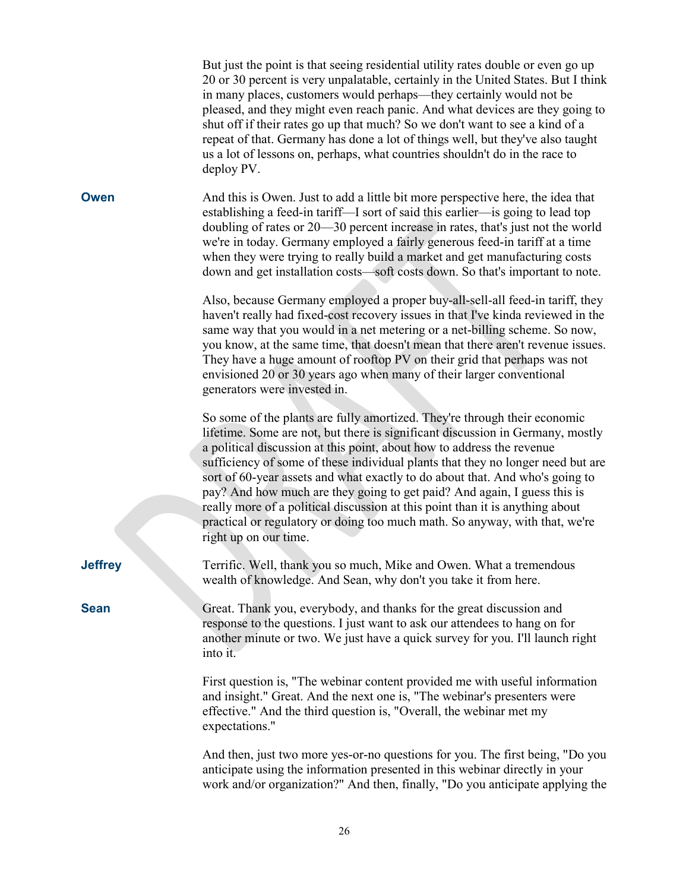|                | But just the point is that seeing residential utility rates double or even go up<br>20 or 30 percent is very unpalatable, certainly in the United States. But I think<br>in many places, customers would perhaps-they certainly would not be<br>pleased, and they might even reach panic. And what devices are they going to<br>shut off if their rates go up that much? So we don't want to see a kind of a<br>repeat of that. Germany has done a lot of things well, but they've also taught<br>us a lot of lessons on, perhaps, what countries shouldn't do in the race to<br>deploy PV.                                                                                   |
|----------------|-------------------------------------------------------------------------------------------------------------------------------------------------------------------------------------------------------------------------------------------------------------------------------------------------------------------------------------------------------------------------------------------------------------------------------------------------------------------------------------------------------------------------------------------------------------------------------------------------------------------------------------------------------------------------------|
| Owen           | And this is Owen. Just to add a little bit more perspective here, the idea that<br>establishing a feed-in tariff—I sort of said this earlier—is going to lead top<br>doubling of rates or 20—30 percent increase in rates, that's just not the world<br>we're in today. Germany employed a fairly generous feed-in tariff at a time<br>when they were trying to really build a market and get manufacturing costs<br>down and get installation costs—soft costs down. So that's important to note.                                                                                                                                                                            |
|                | Also, because Germany employed a proper buy-all-sell-all feed-in tariff, they<br>haven't really had fixed-cost recovery issues in that I've kinda reviewed in the<br>same way that you would in a net metering or a net-billing scheme. So now,<br>you know, at the same time, that doesn't mean that there aren't revenue issues.<br>They have a huge amount of rooftop PV on their grid that perhaps was not<br>envisioned 20 or 30 years ago when many of their larger conventional<br>generators were invested in.                                                                                                                                                        |
|                | So some of the plants are fully amortized. They're through their economic<br>lifetime. Some are not, but there is significant discussion in Germany, mostly<br>a political discussion at this point, about how to address the revenue<br>sufficiency of some of these individual plants that they no longer need but are<br>sort of 60-year assets and what exactly to do about that. And who's going to<br>pay? And how much are they going to get paid? And again, I guess this is<br>really more of a political discussion at this point than it is anything about<br>practical or regulatory or doing too much math. So anyway, with that, we're<br>right up on our time. |
| <b>Jeffrey</b> | Terrific. Well, thank you so much, Mike and Owen. What a tremendous<br>wealth of knowledge. And Sean, why don't you take it from here.                                                                                                                                                                                                                                                                                                                                                                                                                                                                                                                                        |
| <b>Sean</b>    | Great. Thank you, everybody, and thanks for the great discussion and<br>response to the questions. I just want to ask our attendees to hang on for<br>another minute or two. We just have a quick survey for you. I'll launch right<br>into it.                                                                                                                                                                                                                                                                                                                                                                                                                               |
|                | First question is, "The webinar content provided me with useful information<br>and insight." Great. And the next one is, "The webinar's presenters were<br>effective." And the third question is, "Overall, the webinar met my<br>expectations."                                                                                                                                                                                                                                                                                                                                                                                                                              |
|                | And then, just two more yes-or-no questions for you. The first being, "Do you<br>anticipate using the information presented in this webinar directly in your<br>work and/or organization?" And then, finally, "Do you anticipate applying the                                                                                                                                                                                                                                                                                                                                                                                                                                 |